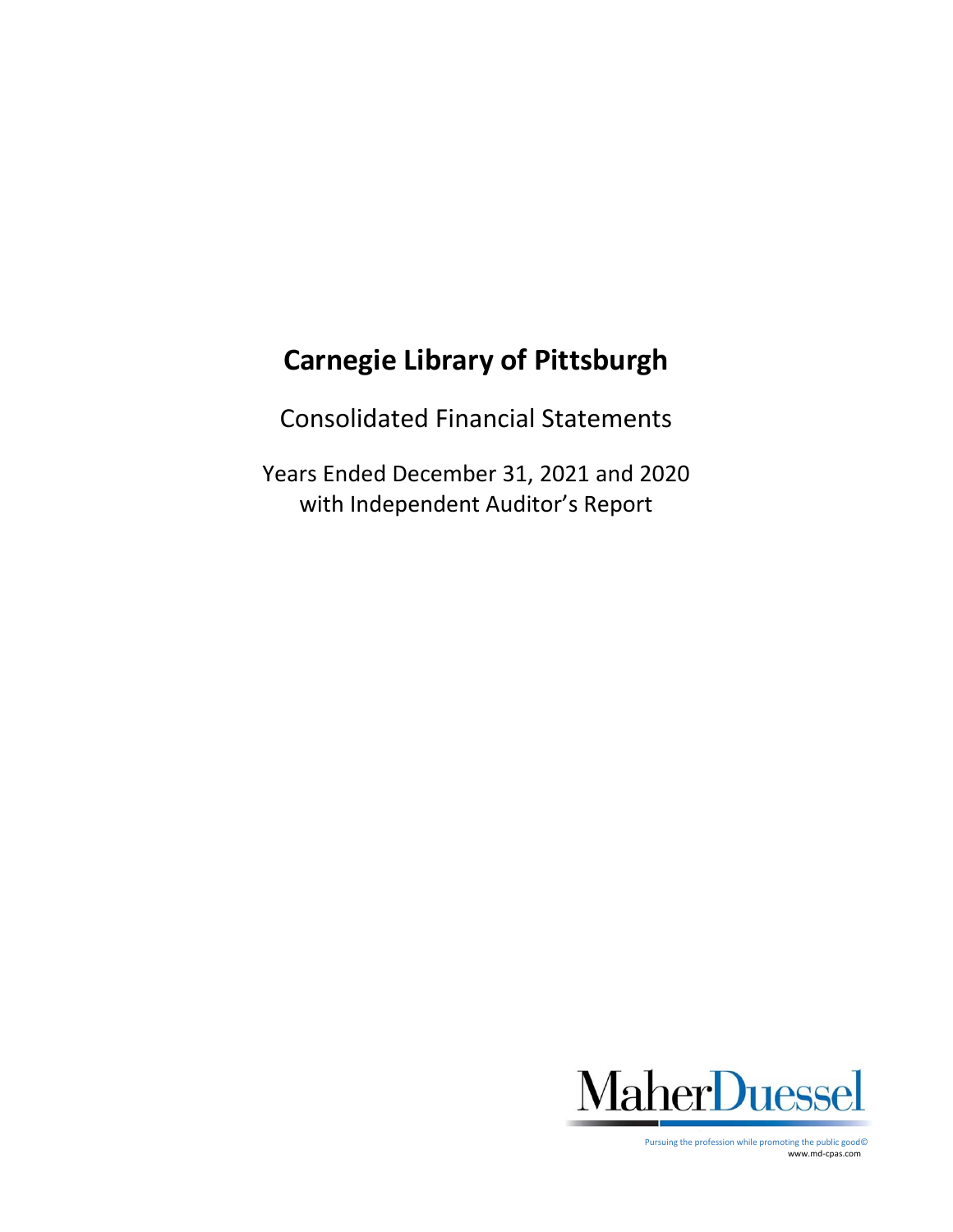# **Carnegie Library of Pittsburgh**

Consolidated Financial Statements

Years Ended December 31, 2021 and 2020 with Independent Auditor's Report



Pursuing the profession while promoting the public good© www.md‐cpas.com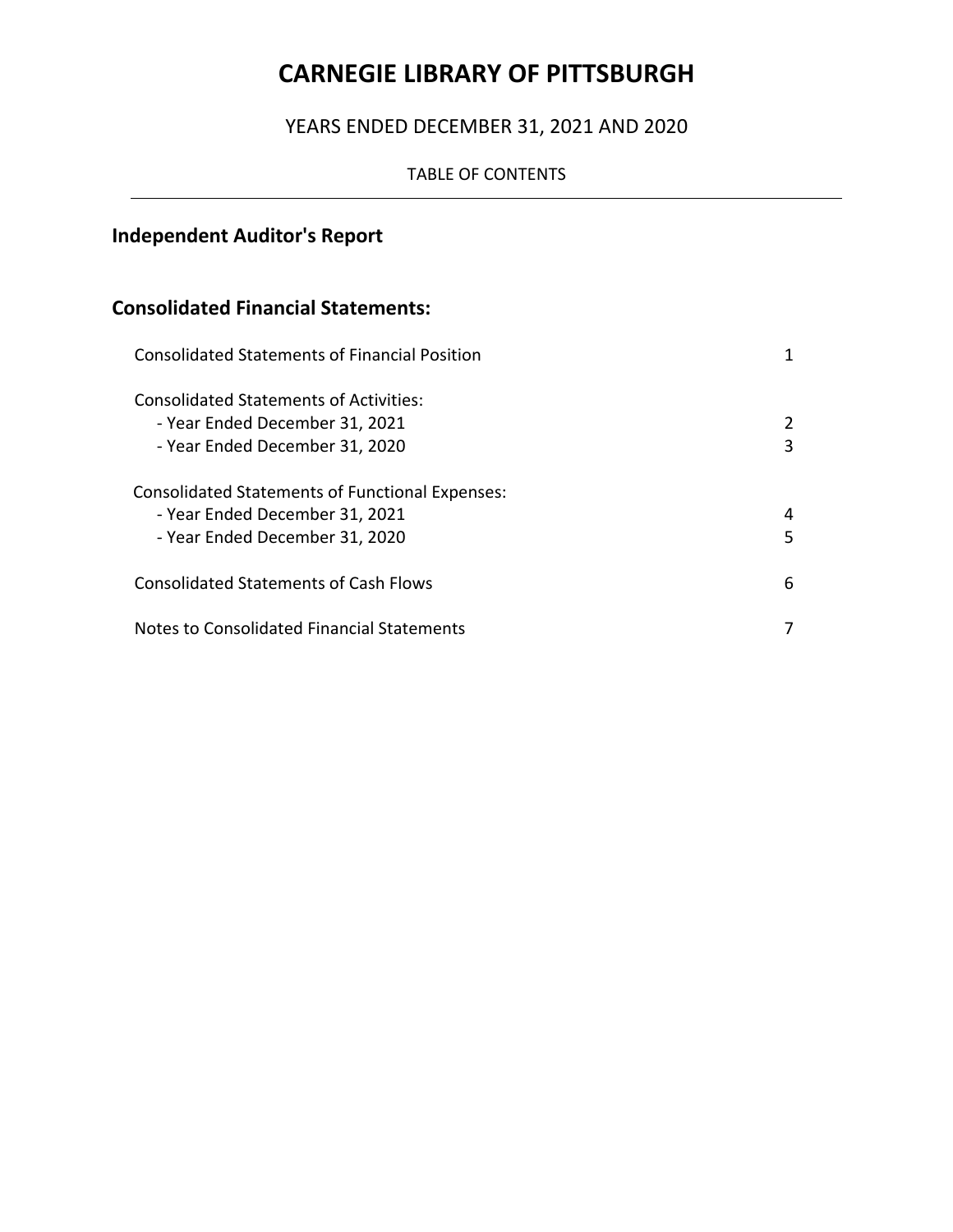# YEARS ENDED DECEMBER 31, 2021 AND 2020

### TABLE OF CONTENTS

# **Independent Auditor's Report**

# **Consolidated Financial Statements:**

| <b>Consolidated Statements of Financial Position</b>                                                                |         |
|---------------------------------------------------------------------------------------------------------------------|---------|
| Consolidated Statements of Activities:<br>- Year Ended December 31, 2021<br>- Year Ended December 31, 2020          | 2<br>3  |
| Consolidated Statements of Functional Expenses:<br>- Year Ended December 31, 2021<br>- Year Ended December 31, 2020 | 4<br>5. |
| <b>Consolidated Statements of Cash Flows</b>                                                                        | 6       |
| Notes to Consolidated Financial Statements                                                                          | 7       |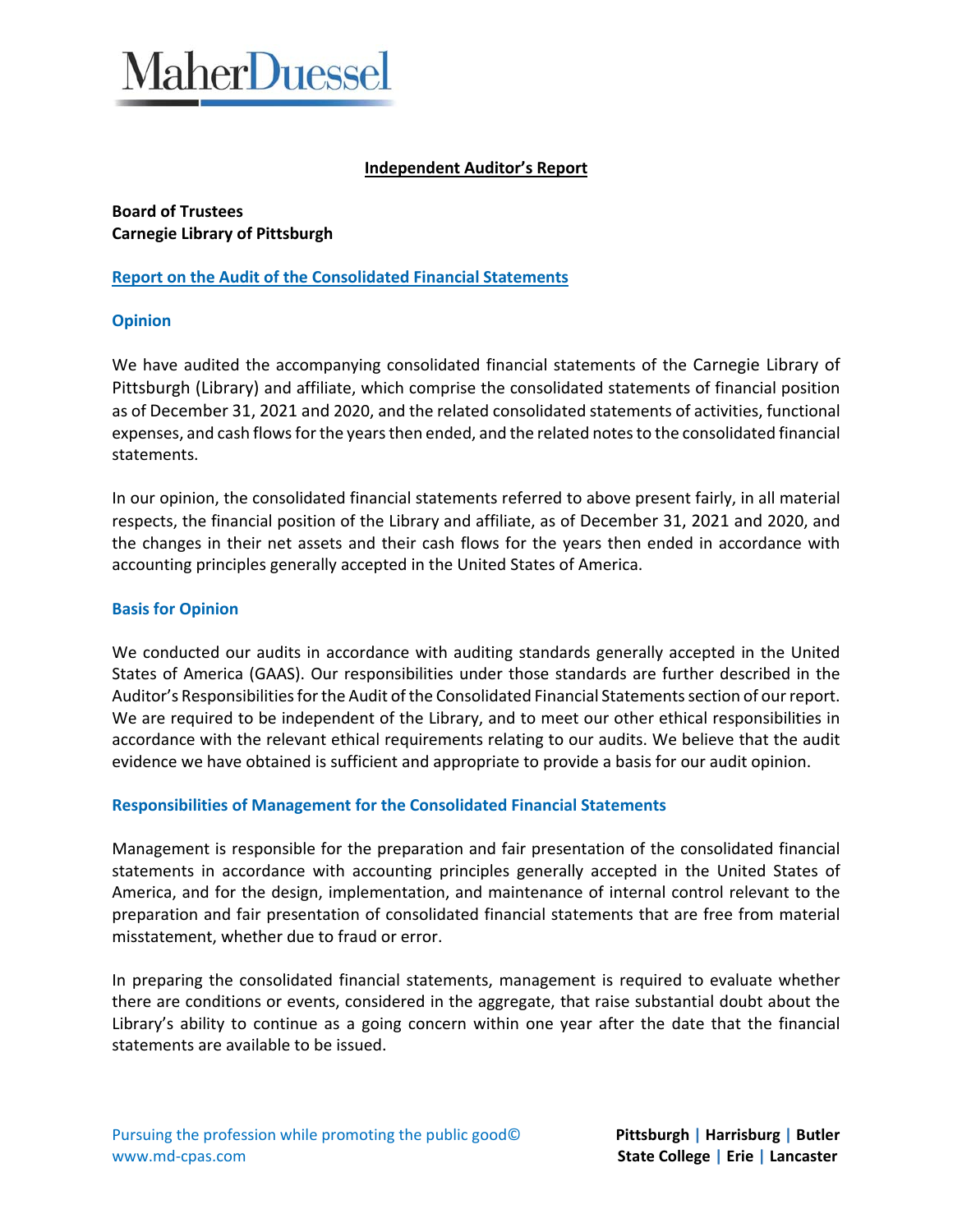

#### **Independent Auditor's Report**

**Board of Trustees Carnegie Library of Pittsburgh** 

**Report on the Audit of the Consolidated Financial Statements** 

#### **Opinion**

We have audited the accompanying consolidated financial statements of the Carnegie Library of Pittsburgh (Library) and affiliate, which comprise the consolidated statements of financial position as of December 31, 2021 and 2020, and the related consolidated statements of activities, functional expenses, and cash flows for the years then ended, and the related notes to the consolidated financial statements.

In our opinion, the consolidated financial statements referred to above present fairly, in all material respects, the financial position of the Library and affiliate, as of December 31, 2021 and 2020, and the changes in their net assets and their cash flows for the years then ended in accordance with accounting principles generally accepted in the United States of America.

#### **Basis for Opinion**

We conducted our audits in accordance with auditing standards generally accepted in the United States of America (GAAS). Our responsibilities under those standards are further described in the Auditor's Responsibilities for the Audit of the Consolidated Financial Statements section of our report. We are required to be independent of the Library, and to meet our other ethical responsibilities in accordance with the relevant ethical requirements relating to our audits. We believe that the audit evidence we have obtained is sufficient and appropriate to provide a basis for our audit opinion.

#### **Responsibilities of Management for the Consolidated Financial Statements**

Management is responsible for the preparation and fair presentation of the consolidated financial statements in accordance with accounting principles generally accepted in the United States of America, and for the design, implementation, and maintenance of internal control relevant to the preparation and fair presentation of consolidated financial statements that are free from material misstatement, whether due to fraud or error.

In preparing the consolidated financial statements, management is required to evaluate whether there are conditions or events, considered in the aggregate, that raise substantial doubt about the Library's ability to continue as a going concern within one year after the date that the financial statements are available to be issued.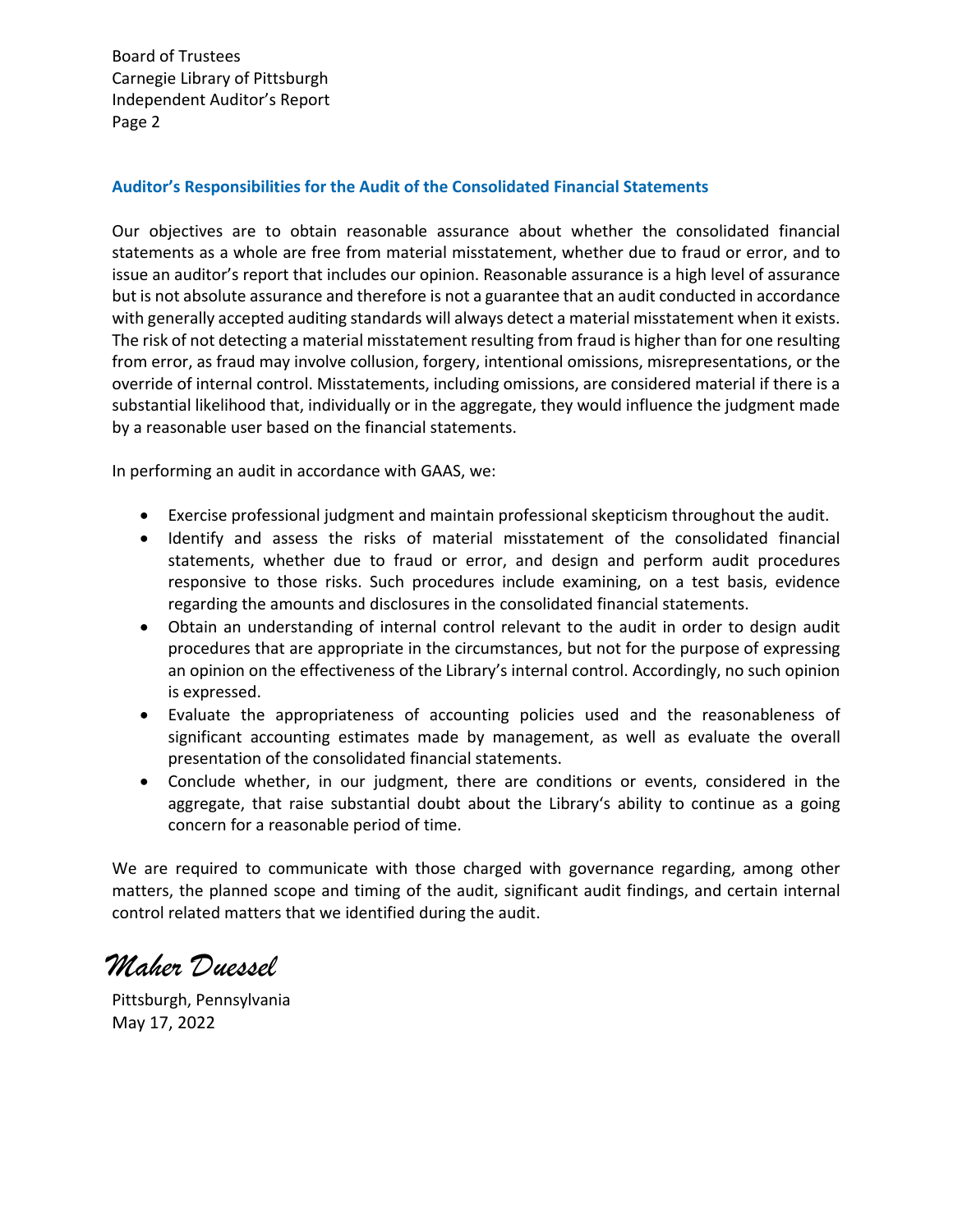Board of Trustees Carnegie Library of Pittsburgh Independent Auditor's Report Page 2

#### **Auditor's Responsibilities for the Audit of the Consolidated Financial Statements**

Our objectives are to obtain reasonable assurance about whether the consolidated financial statements as a whole are free from material misstatement, whether due to fraud or error, and to issue an auditor's report that includes our opinion. Reasonable assurance is a high level of assurance but is not absolute assurance and therefore is not a guarantee that an audit conducted in accordance with generally accepted auditing standards will always detect a material misstatement when it exists. The risk of not detecting a material misstatement resulting from fraud is higher than for one resulting from error, as fraud may involve collusion, forgery, intentional omissions, misrepresentations, or the override of internal control. Misstatements, including omissions, are considered material if there is a substantial likelihood that, individually or in the aggregate, they would influence the judgment made by a reasonable user based on the financial statements.

In performing an audit in accordance with GAAS, we:

- Exercise professional judgment and maintain professional skepticism throughout the audit.
- Identify and assess the risks of material misstatement of the consolidated financial statements, whether due to fraud or error, and design and perform audit procedures responsive to those risks. Such procedures include examining, on a test basis, evidence regarding the amounts and disclosures in the consolidated financial statements.
- Obtain an understanding of internal control relevant to the audit in order to design audit procedures that are appropriate in the circumstances, but not for the purpose of expressing an opinion on the effectiveness of the Library's internal control. Accordingly, no such opinion is expressed.
- Evaluate the appropriateness of accounting policies used and the reasonableness of significant accounting estimates made by management, as well as evaluate the overall presentation of the consolidated financial statements.
- Conclude whether, in our judgment, there are conditions or events, considered in the aggregate, that raise substantial doubt about the Library's ability to continue as a going concern for a reasonable period of time.

We are required to communicate with those charged with governance regarding, among other matters, the planned scope and timing of the audit, significant audit findings, and certain internal control related matters that we identified during the audit.

*Maher Duessel*

Pittsburgh, Pennsylvania May 17, 2022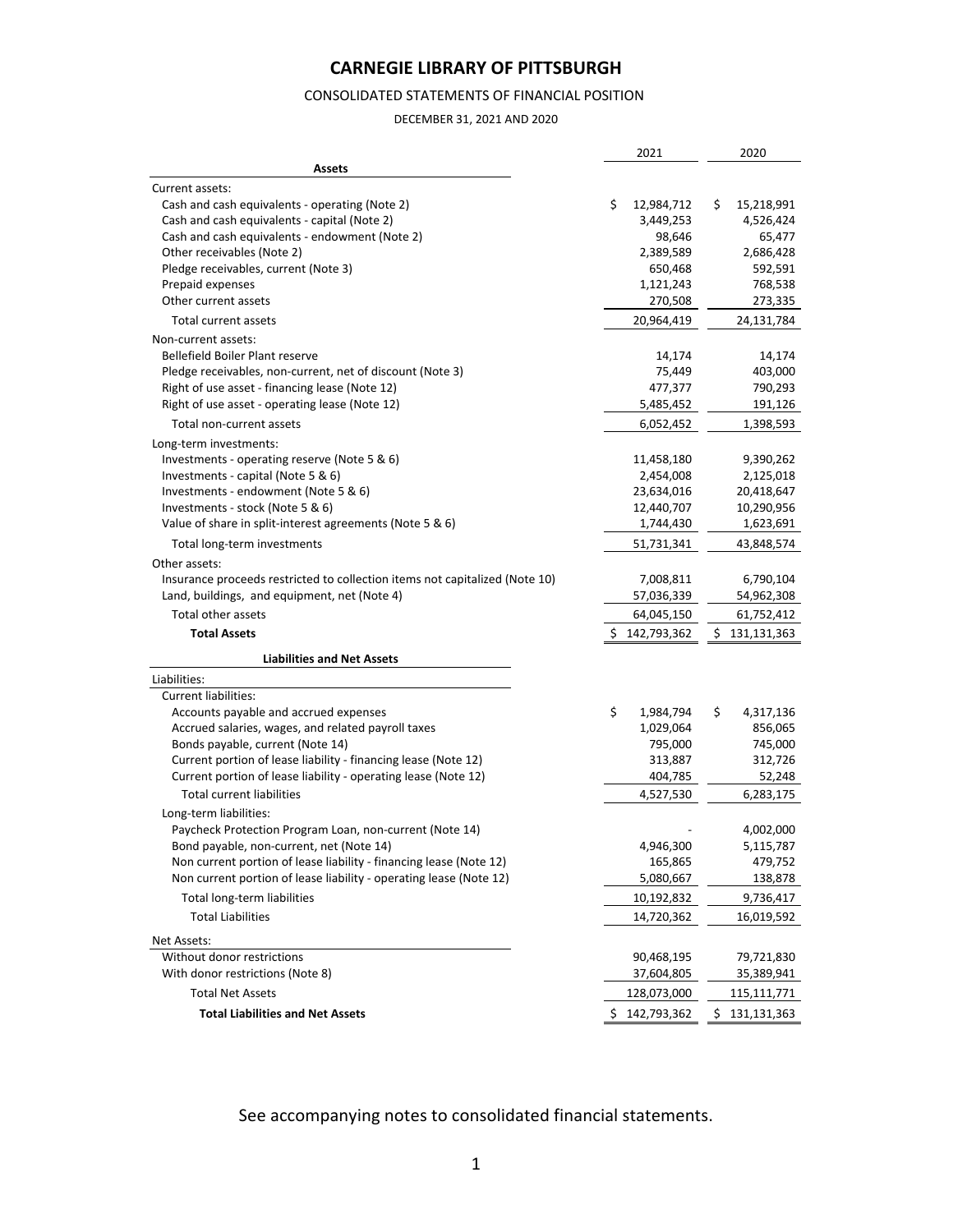#### CONSOLIDATED STATEMENTS OF FINANCIAL POSITION

DECEMBER 31, 2021 AND 2020

|                                                                             | 2021               | 2020              |
|-----------------------------------------------------------------------------|--------------------|-------------------|
| Assets                                                                      |                    |                   |
| Current assets:                                                             |                    |                   |
| Cash and cash equivalents - operating (Note 2)                              | \$<br>12,984,712   | 15,218,991<br>\$  |
| Cash and cash equivalents - capital (Note 2)                                | 3,449,253          | 4,526,424         |
| Cash and cash equivalents - endowment (Note 2)                              | 98,646             | 65,477            |
| Other receivables (Note 2)                                                  | 2,389,589          | 2,686,428         |
| Pledge receivables, current (Note 3)                                        | 650,468            | 592,591           |
| Prepaid expenses                                                            | 1,121,243          | 768,538           |
| Other current assets                                                        | 270,508            | 273,335           |
| Total current assets                                                        | 20,964,419         | 24,131,784        |
| Non-current assets:                                                         |                    |                   |
| Bellefield Boiler Plant reserve                                             | 14,174             | 14,174            |
| Pledge receivables, non-current, net of discount (Note 3)                   | 75,449             | 403,000           |
| Right of use asset - financing lease (Note 12)                              | 477,377            | 790,293           |
| Right of use asset - operating lease (Note 12)                              | 5,485,452          | 191,126           |
| Total non-current assets                                                    | 6,052,452          | 1,398,593         |
| Long-term investments:                                                      |                    |                   |
| Investments - operating reserve (Note 5 & 6)                                | 11,458,180         | 9,390,262         |
| Investments - capital (Note 5 & 6)                                          | 2,454,008          | 2,125,018         |
| Investments - endowment (Note 5 & 6)                                        | 23,634,016         | 20,418,647        |
| Investments - stock (Note 5 & 6)                                            | 12,440,707         | 10,290,956        |
| Value of share in split-interest agreements (Note 5 & 6)                    | 1,744,430          | 1,623,691         |
| Total long-term investments                                                 | 51,731,341         | 43,848,574        |
| Other assets:                                                               |                    |                   |
| Insurance proceeds restricted to collection items not capitalized (Note 10) | 7,008,811          | 6,790,104         |
| Land, buildings, and equipment, net (Note 4)                                | 57,036,339         | 54,962,308        |
| Total other assets                                                          | 64,045,150         | 61,752,412        |
| <b>Total Assets</b>                                                         | \$142,793,362      | \$131,131,363     |
| <b>Liabilities and Net Assets</b>                                           |                    |                   |
| Liabilities:                                                                |                    |                   |
| <b>Current liabilities:</b>                                                 |                    |                   |
| Accounts payable and accrued expenses                                       | \$<br>1,984,794    | \$<br>4,317,136   |
| Accrued salaries, wages, and related payroll taxes                          | 1,029,064          | 856,065           |
| Bonds payable, current (Note 14)                                            | 795,000            | 745,000           |
| Current portion of lease liability - financing lease (Note 12)              | 313,887            | 312,726           |
| Current portion of lease liability - operating lease (Note 12)              | 404,785            | 52,248            |
| <b>Total current liabilities</b>                                            | 4,527,530          | 6,283,175         |
| Long-term liabilities:                                                      |                    |                   |
| Paycheck Protection Program Loan, non-current (Note 14)                     |                    | 4,002,000         |
| Bond payable, non-current, net (Note 14)                                    | 4,946,300          | 5,115,787         |
| Non current portion of lease liability - financing lease (Note 12)          | 165,865            | 479,752           |
| Non current portion of lease liability - operating lease (Note 12)          | 5,080,667          | 138,878           |
| Total long-term liabilities                                                 | 10,192,832         | 9,736,417         |
| <b>Total Liabilities</b>                                                    | 14,720,362         | 16,019,592        |
| Net Assets:                                                                 |                    |                   |
| Without donor restrictions                                                  | 90,468,195         | 79,721,830        |
| With donor restrictions (Note 8)                                            | 37,604,805         | 35,389,941        |
| <b>Total Net Assets</b>                                                     | 128,073,000        | 115,111,771       |
| <b>Total Liabilities and Net Assets</b>                                     | \$.<br>142,793,362 | \$<br>131,131,363 |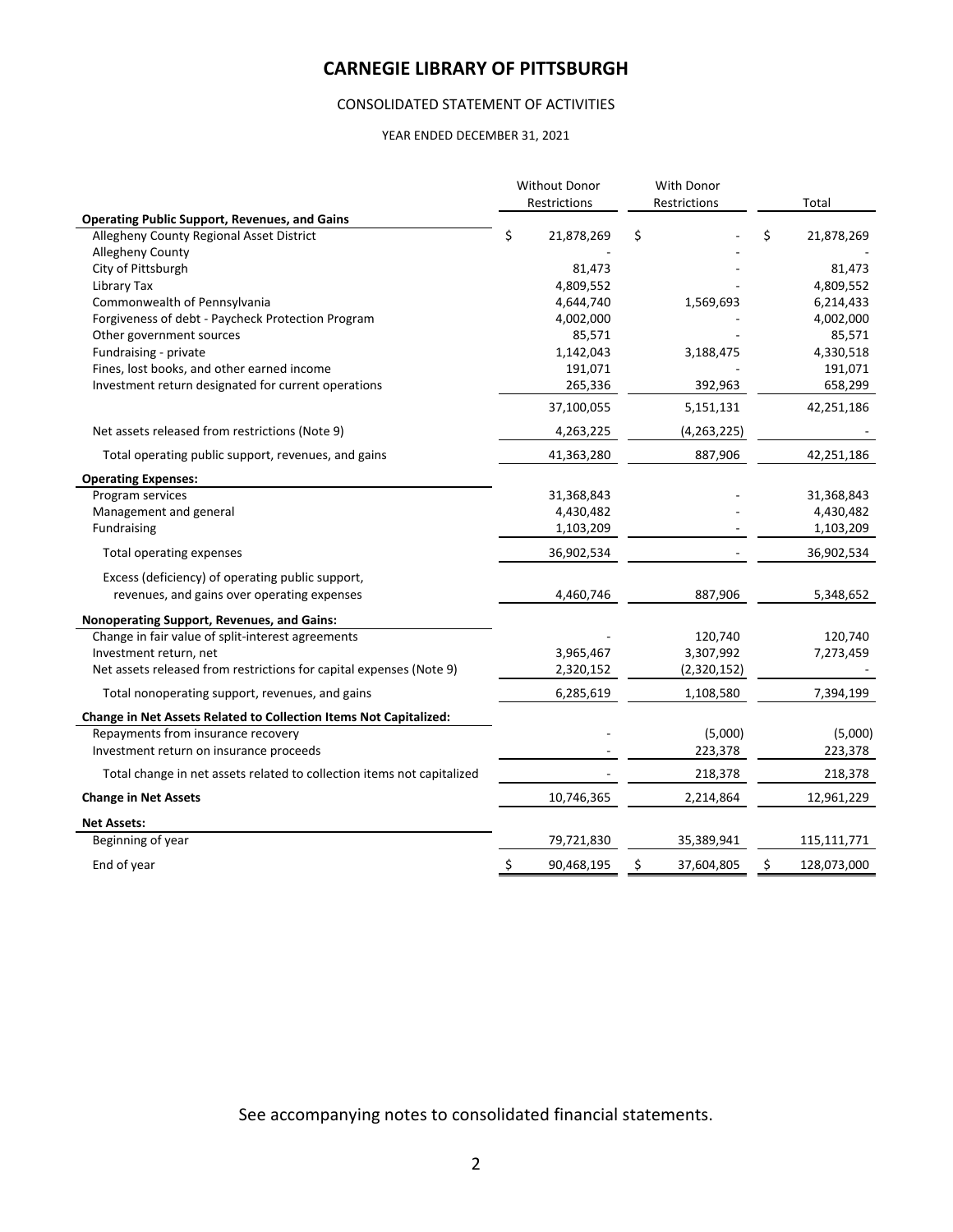#### CONSOLIDATED STATEMENT OF ACTIVITIES

#### YEAR ENDED DECEMBER 31, 2021

|                                                                        |    | <b>Without Donor</b><br>Restrictions | With Donor<br>Restrictions |               | Total             |
|------------------------------------------------------------------------|----|--------------------------------------|----------------------------|---------------|-------------------|
| <b>Operating Public Support, Revenues, and Gains</b>                   |    |                                      |                            |               |                   |
| Allegheny County Regional Asset District                               | \$ | 21,878,269                           | \$                         |               | \$<br>21,878,269  |
| Allegheny County                                                       |    |                                      |                            |               |                   |
| City of Pittsburgh                                                     |    | 81,473                               |                            |               | 81,473            |
| Library Tax                                                            |    | 4,809,552                            |                            |               | 4,809,552         |
| Commonwealth of Pennsylvania                                           |    | 4,644,740                            |                            | 1,569,693     | 6,214,433         |
| Forgiveness of debt - Paycheck Protection Program                      |    | 4,002,000                            |                            |               | 4,002,000         |
| Other government sources                                               |    | 85,571                               |                            |               | 85,571            |
| Fundraising - private                                                  |    | 1,142,043                            |                            | 3,188,475     | 4,330,518         |
| Fines, lost books, and other earned income                             |    | 191,071                              |                            |               | 191,071           |
| Investment return designated for current operations                    |    | 265,336                              |                            | 392,963       | 658,299           |
|                                                                        |    | 37,100,055                           |                            | 5,151,131     | 42,251,186        |
| Net assets released from restrictions (Note 9)                         |    | 4,263,225                            |                            | (4, 263, 225) |                   |
| Total operating public support, revenues, and gains                    |    | 41,363,280                           |                            | 887,906       | 42,251,186        |
| <b>Operating Expenses:</b>                                             |    |                                      |                            |               |                   |
| Program services                                                       |    | 31,368,843                           |                            |               | 31,368,843        |
| Management and general                                                 |    | 4,430,482                            |                            |               | 4,430,482         |
| Fundraising                                                            |    | 1,103,209                            |                            |               | 1,103,209         |
| Total operating expenses                                               |    | 36,902,534                           |                            |               | 36,902,534        |
| Excess (deficiency) of operating public support,                       |    |                                      |                            |               |                   |
| revenues, and gains over operating expenses                            |    | 4,460,746                            |                            | 887,906       | 5,348,652         |
| <b>Nonoperating Support, Revenues, and Gains:</b>                      |    |                                      |                            |               |                   |
| Change in fair value of split-interest agreements                      |    |                                      |                            | 120,740       | 120,740           |
| Investment return, net                                                 |    | 3,965,467                            |                            | 3,307,992     | 7,273,459         |
| Net assets released from restrictions for capital expenses (Note 9)    |    | 2,320,152                            |                            | (2,320,152)   |                   |
| Total nonoperating support, revenues, and gains                        |    | 6,285,619                            |                            | 1,108,580     | 7,394,199         |
| Change in Net Assets Related to Collection Items Not Capitalized:      |    |                                      |                            |               |                   |
| Repayments from insurance recovery                                     |    |                                      |                            | (5,000)       | (5,000)           |
| Investment return on insurance proceeds                                |    |                                      |                            | 223,378       | 223,378           |
| Total change in net assets related to collection items not capitalized |    |                                      |                            | 218,378       | 218,378           |
| <b>Change in Net Assets</b>                                            |    | 10,746,365                           |                            | 2,214,864     | 12,961,229        |
| <b>Net Assets:</b>                                                     |    |                                      |                            |               |                   |
| Beginning of year                                                      |    | 79,721,830                           |                            | 35,389,941    | 115,111,771       |
| End of year                                                            | \$ | 90,468,195                           | \$                         | 37,604,805    | \$<br>128,073,000 |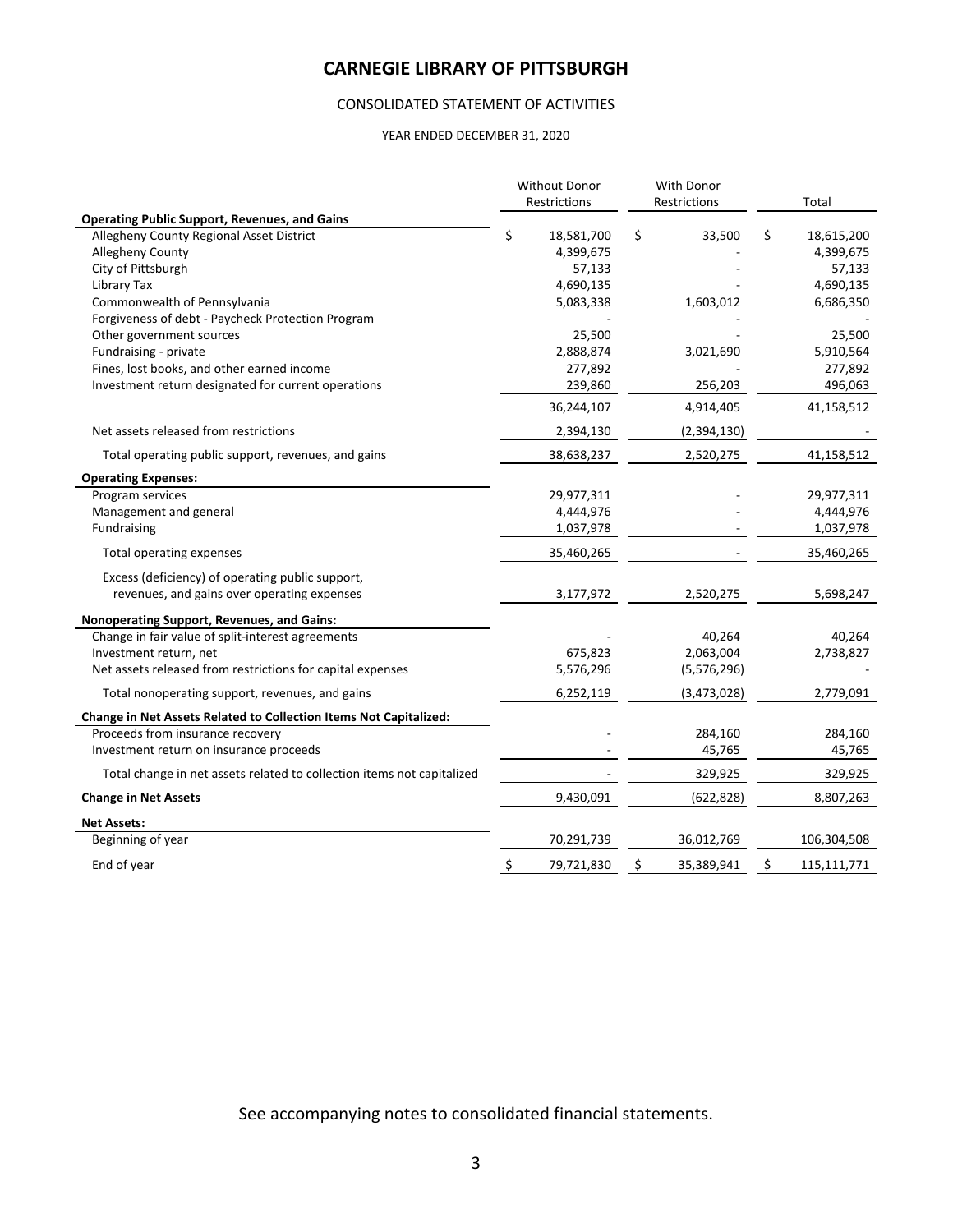#### CONSOLIDATED STATEMENT OF ACTIVITIES

#### YEAR ENDED DECEMBER 31, 2020

|                                                                                                                      | <b>Without Donor</b>          |              | With Donor  |                               |
|----------------------------------------------------------------------------------------------------------------------|-------------------------------|--------------|-------------|-------------------------------|
|                                                                                                                      | Restrictions                  | Restrictions |             | Total                         |
| <b>Operating Public Support, Revenues, and Gains</b><br>Allegheny County Regional Asset District<br>Allegheny County | \$<br>18,581,700<br>4,399,675 | \$           | 33,500      | \$<br>18,615,200<br>4,399,675 |
| City of Pittsburgh                                                                                                   | 57,133                        |              |             | 57,133                        |
| Library Tax                                                                                                          | 4,690,135                     |              |             | 4,690,135                     |
| Commonwealth of Pennsylvania                                                                                         | 5,083,338                     |              | 1,603,012   | 6,686,350                     |
| Forgiveness of debt - Paycheck Protection Program                                                                    |                               |              |             |                               |
| Other government sources                                                                                             | 25,500                        |              |             | 25,500                        |
| Fundraising - private                                                                                                | 2,888,874                     |              | 3,021,690   | 5,910,564                     |
| Fines, lost books, and other earned income                                                                           | 277,892                       |              |             | 277,892                       |
| Investment return designated for current operations                                                                  | 239,860                       |              | 256,203     | 496,063                       |
|                                                                                                                      | 36,244,107                    |              | 4,914,405   | 41,158,512                    |
| Net assets released from restrictions                                                                                | 2,394,130                     |              | (2,394,130) |                               |
| Total operating public support, revenues, and gains                                                                  | 38,638,237                    |              | 2,520,275   | 41,158,512                    |
| <b>Operating Expenses:</b>                                                                                           |                               |              |             |                               |
| Program services                                                                                                     | 29,977,311                    |              |             | 29,977,311                    |
| Management and general                                                                                               | 4,444,976                     |              |             | 4,444,976                     |
| Fundraising                                                                                                          | 1,037,978                     |              |             | 1,037,978                     |
| Total operating expenses                                                                                             | 35,460,265                    |              |             | 35,460,265                    |
| Excess (deficiency) of operating public support,                                                                     |                               |              |             |                               |
| revenues, and gains over operating expenses                                                                          | 3,177,972                     |              | 2,520,275   | 5,698,247                     |
| <b>Nonoperating Support, Revenues, and Gains:</b>                                                                    |                               |              |             |                               |
| Change in fair value of split-interest agreements                                                                    |                               |              | 40,264      | 40,264                        |
| Investment return, net                                                                                               | 675,823                       |              | 2,063,004   | 2,738,827                     |
| Net assets released from restrictions for capital expenses                                                           | 5,576,296                     |              | (5,576,296) |                               |
| Total nonoperating support, revenues, and gains                                                                      | 6,252,119                     |              | (3,473,028) | 2,779,091                     |
| Change in Net Assets Related to Collection Items Not Capitalized:                                                    |                               |              |             |                               |
| Proceeds from insurance recovery                                                                                     |                               |              | 284,160     | 284,160                       |
| Investment return on insurance proceeds                                                                              |                               |              | 45,765      | 45,765                        |
| Total change in net assets related to collection items not capitalized                                               |                               |              | 329,925     | 329,925                       |
| <b>Change in Net Assets</b>                                                                                          | 9,430,091                     |              | (622, 828)  | 8,807,263                     |
| <b>Net Assets:</b>                                                                                                   |                               |              |             |                               |
| Beginning of year                                                                                                    | 70,291,739                    |              | 36,012,769  | 106,304,508                   |
| End of year                                                                                                          | \$<br>79,721,830              | \$           | 35,389,941  | \$<br>115, 111, 771           |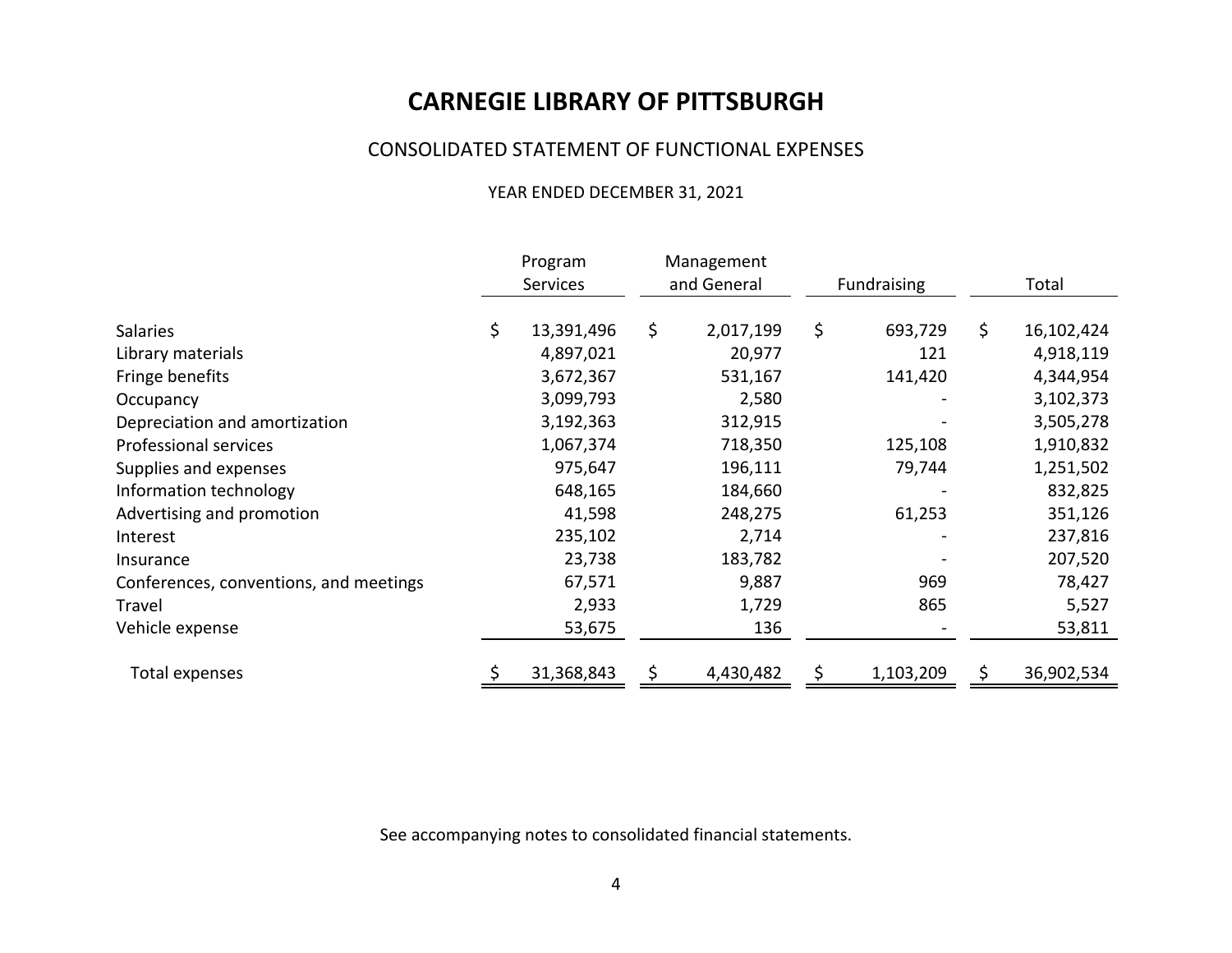## CONSOLIDATED STATEMENT OF FUNCTIONAL EXPENSES

#### YEAR ENDED DECEMBER 31, 2021

|                                        | Program          | Management  |           |                    |           |       |            |
|----------------------------------------|------------------|-------------|-----------|--------------------|-----------|-------|------------|
|                                        | Services         | and General |           | <b>Fundraising</b> |           | Total |            |
|                                        |                  |             |           |                    |           |       |            |
| <b>Salaries</b>                        | \$<br>13,391,496 | \$          | 2,017,199 | \$                 | 693,729   | \$.   | 16,102,424 |
| Library materials                      | 4,897,021        |             | 20,977    |                    | 121       |       | 4,918,119  |
| Fringe benefits                        | 3,672,367        |             | 531,167   |                    | 141,420   |       | 4,344,954  |
| Occupancy                              | 3,099,793        |             | 2,580     |                    |           |       | 3,102,373  |
| Depreciation and amortization          | 3,192,363        |             | 312,915   |                    |           |       | 3,505,278  |
| Professional services                  | 1,067,374        |             | 718,350   |                    | 125,108   |       | 1,910,832  |
| Supplies and expenses                  | 975,647          |             | 196,111   |                    | 79,744    |       | 1,251,502  |
| Information technology                 | 648,165          |             | 184,660   |                    |           |       | 832,825    |
| Advertising and promotion              | 41,598           |             | 248,275   |                    | 61,253    |       | 351,126    |
| Interest                               | 235,102          |             | 2,714     |                    |           |       | 237,816    |
| Insurance                              | 23,738           |             | 183,782   |                    |           |       | 207,520    |
| Conferences, conventions, and meetings | 67,571           |             | 9,887     |                    | 969       |       | 78,427     |
| Travel                                 | 2,933            |             | 1,729     |                    | 865       |       | 5,527      |
| Vehicle expense                        | 53,675           |             | 136       |                    |           |       | 53,811     |
| Total expenses                         | 31,368,843       | \$          | 4,430,482 | \$                 | 1,103,209 |       | 36,902,534 |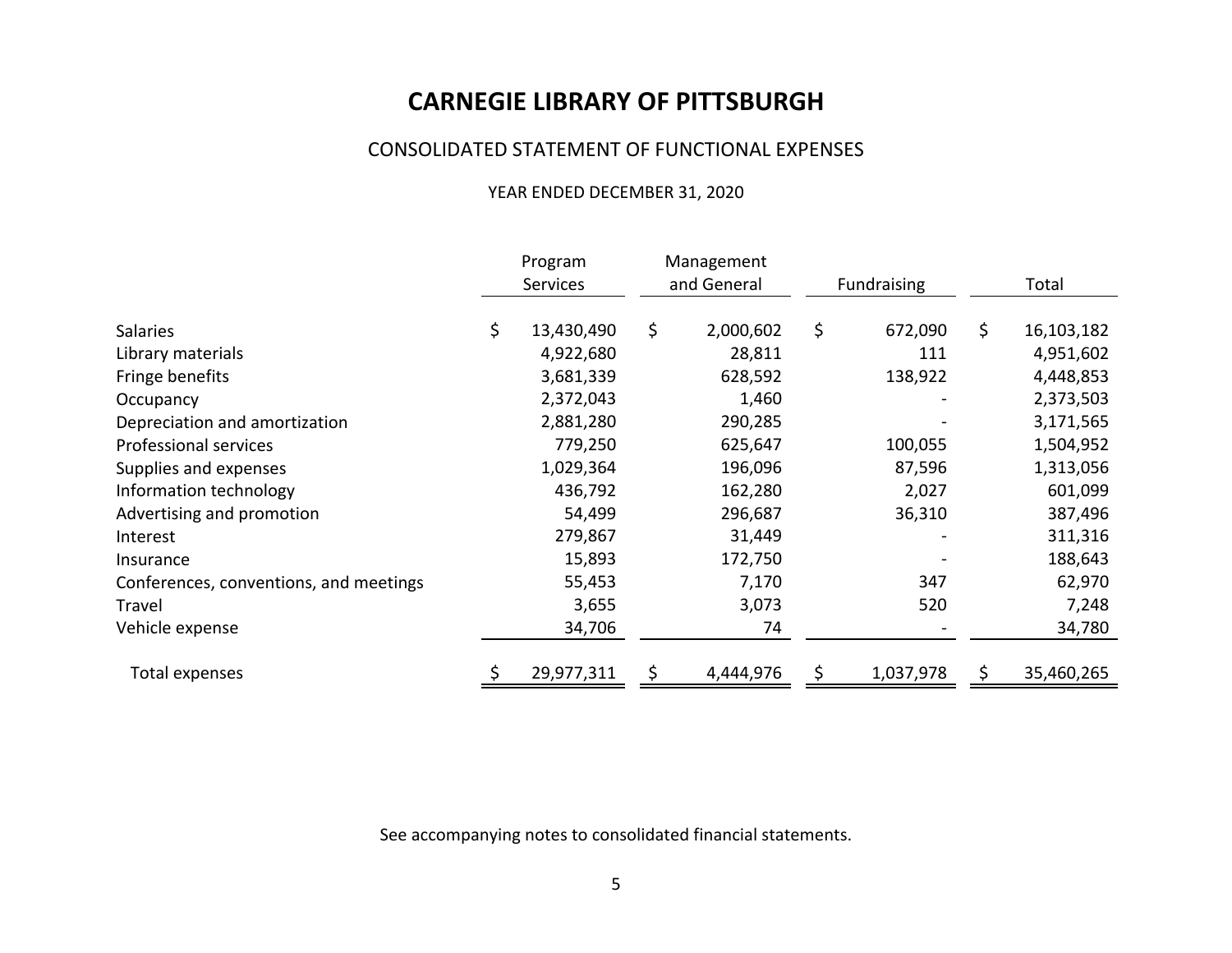## CONSOLIDATED STATEMENT OF FUNCTIONAL EXPENSES

#### YEAR ENDED DECEMBER 31, 2020

|                                        | Program          | Management<br>and General |           | Fundraising |           |       |            |
|----------------------------------------|------------------|---------------------------|-----------|-------------|-----------|-------|------------|
|                                        | Services         |                           |           |             |           | Total |            |
| <b>Salaries</b>                        | \$<br>13,430,490 | \$                        | 2,000,602 | \$          | 672,090   | \$.   | 16,103,182 |
| Library materials                      | 4,922,680        |                           | 28,811    |             | 111       |       | 4,951,602  |
| Fringe benefits                        | 3,681,339        |                           | 628,592   |             | 138,922   |       | 4,448,853  |
| Occupancy                              | 2,372,043        |                           | 1,460     |             |           |       | 2,373,503  |
| Depreciation and amortization          | 2,881,280        |                           | 290,285   |             |           |       | 3,171,565  |
| <b>Professional services</b>           | 779,250          |                           | 625,647   |             | 100,055   |       | 1,504,952  |
| Supplies and expenses                  | 1,029,364        |                           | 196,096   |             | 87,596    |       | 1,313,056  |
| Information technology                 | 436,792          |                           | 162,280   |             | 2,027     |       | 601,099    |
| Advertising and promotion              | 54,499           |                           | 296,687   |             | 36,310    |       | 387,496    |
| Interest                               | 279,867          |                           | 31,449    |             |           |       | 311,316    |
| Insurance                              | 15,893           |                           | 172,750   |             |           |       | 188,643    |
| Conferences, conventions, and meetings | 55,453           |                           | 7,170     |             | 347       |       | 62,970     |
| Travel                                 | 3,655            |                           | 3,073     |             | 520       |       | 7,248      |
| Vehicle expense                        | 34,706           |                           | 74        |             |           |       | 34,780     |
| Total expenses                         | 29,977,311       | \$                        | 4,444,976 | \$          | 1,037,978 |       | 35,460,265 |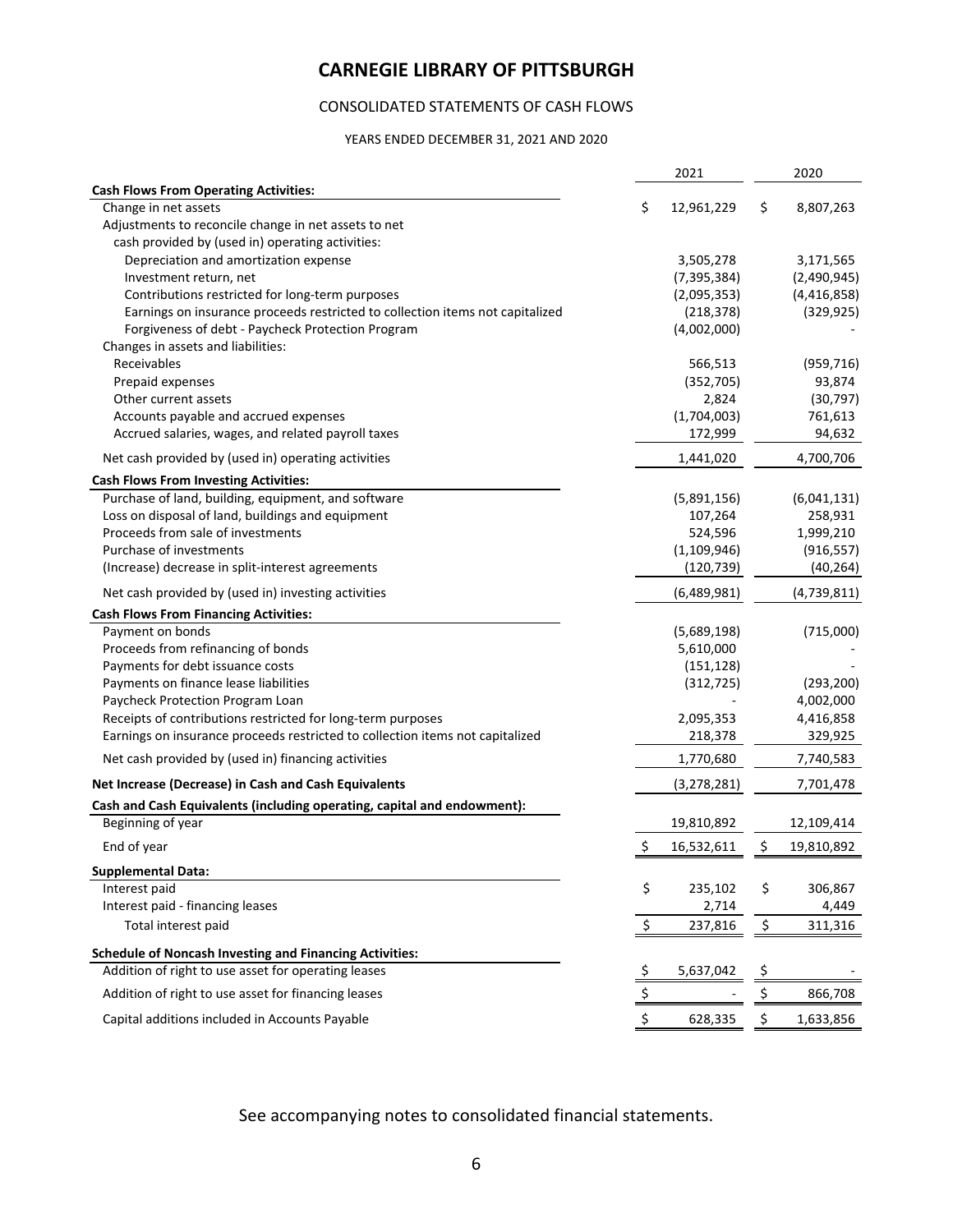#### CONSOLIDATED STATEMENTS OF CASH FLOWS

#### YEARS ENDED DECEMBER 31, 2021 AND 2020

|                                                                               |           | 2021          | 2020             |
|-------------------------------------------------------------------------------|-----------|---------------|------------------|
| <b>Cash Flows From Operating Activities:</b>                                  |           |               |                  |
| Change in net assets                                                          | \$        | 12,961,229    | \$<br>8,807,263  |
| Adjustments to reconcile change in net assets to net                          |           |               |                  |
| cash provided by (used in) operating activities:                              |           |               |                  |
| Depreciation and amortization expense                                         |           | 3,505,278     | 3,171,565        |
| Investment return, net                                                        |           | (7, 395, 384) | (2,490,945)      |
| Contributions restricted for long-term purposes                               |           | (2,095,353)   | (4,416,858)      |
| Earnings on insurance proceeds restricted to collection items not capitalized |           | (218, 378)    | (329, 925)       |
| Forgiveness of debt - Paycheck Protection Program                             |           | (4,002,000)   |                  |
| Changes in assets and liabilities:                                            |           |               |                  |
| Receivables                                                                   |           | 566,513       | (959, 716)       |
| Prepaid expenses                                                              |           | (352, 705)    | 93,874           |
| Other current assets                                                          |           | 2,824         | (30, 797)        |
| Accounts payable and accrued expenses                                         |           | (1,704,003)   | 761,613          |
| Accrued salaries, wages, and related payroll taxes                            |           | 172,999       | 94,632           |
| Net cash provided by (used in) operating activities                           |           | 1,441,020     | 4,700,706        |
| <b>Cash Flows From Investing Activities:</b>                                  |           |               |                  |
| Purchase of land, building, equipment, and software                           |           | (5,891,156)   | (6,041,131)      |
| Loss on disposal of land, buildings and equipment                             |           | 107,264       | 258,931          |
| Proceeds from sale of investments                                             |           | 524,596       | 1,999,210        |
| Purchase of investments                                                       |           | (1, 109, 946) | (916, 557)       |
| (Increase) decrease in split-interest agreements                              |           | (120, 739)    | (40, 264)        |
| Net cash provided by (used in) investing activities                           |           | (6,489,981)   | (4,739,811)      |
| <b>Cash Flows From Financing Activities:</b>                                  |           |               |                  |
| Payment on bonds                                                              |           | (5,689,198)   | (715,000)        |
| Proceeds from refinancing of bonds                                            |           | 5,610,000     |                  |
| Payments for debt issuance costs                                              |           | (151, 128)    |                  |
| Payments on finance lease liabilities                                         |           | (312, 725)    | (293, 200)       |
| Paycheck Protection Program Loan                                              |           |               | 4,002,000        |
| Receipts of contributions restricted for long-term purposes                   |           | 2,095,353     | 4,416,858        |
| Earnings on insurance proceeds restricted to collection items not capitalized |           | 218,378       | 329,925          |
| Net cash provided by (used in) financing activities                           |           | 1,770,680     | 7,740,583        |
| Net Increase (Decrease) in Cash and Cash Equivalents                          |           | (3, 278, 281) | 7,701,478        |
| Cash and Cash Equivalents (including operating, capital and endowment):       |           |               |                  |
| Beginning of year                                                             |           | 19,810,892    | 12,109,414       |
| End of year                                                                   | \$        | 16,532,611    | \$<br>19,810,892 |
| <b>Supplemental Data:</b>                                                     |           |               |                  |
| Interest paid                                                                 | \$        | 235,102       | \$<br>306,867    |
| Interest paid - financing leases                                              |           | 2,714         | 4,449            |
| Total interest paid                                                           | \$        | 237,816       | \$<br>311,316    |
| <b>Schedule of Noncash Investing and Financing Activities:</b>                |           |               |                  |
| Addition of right to use asset for operating leases                           | <u>\$</u> | 5,637,042     | \$               |
| Addition of right to use asset for financing leases                           | $\zeta$   |               | \$<br>866,708    |
| Capital additions included in Accounts Payable                                | \$        | 628,335       | \$<br>1,633,856  |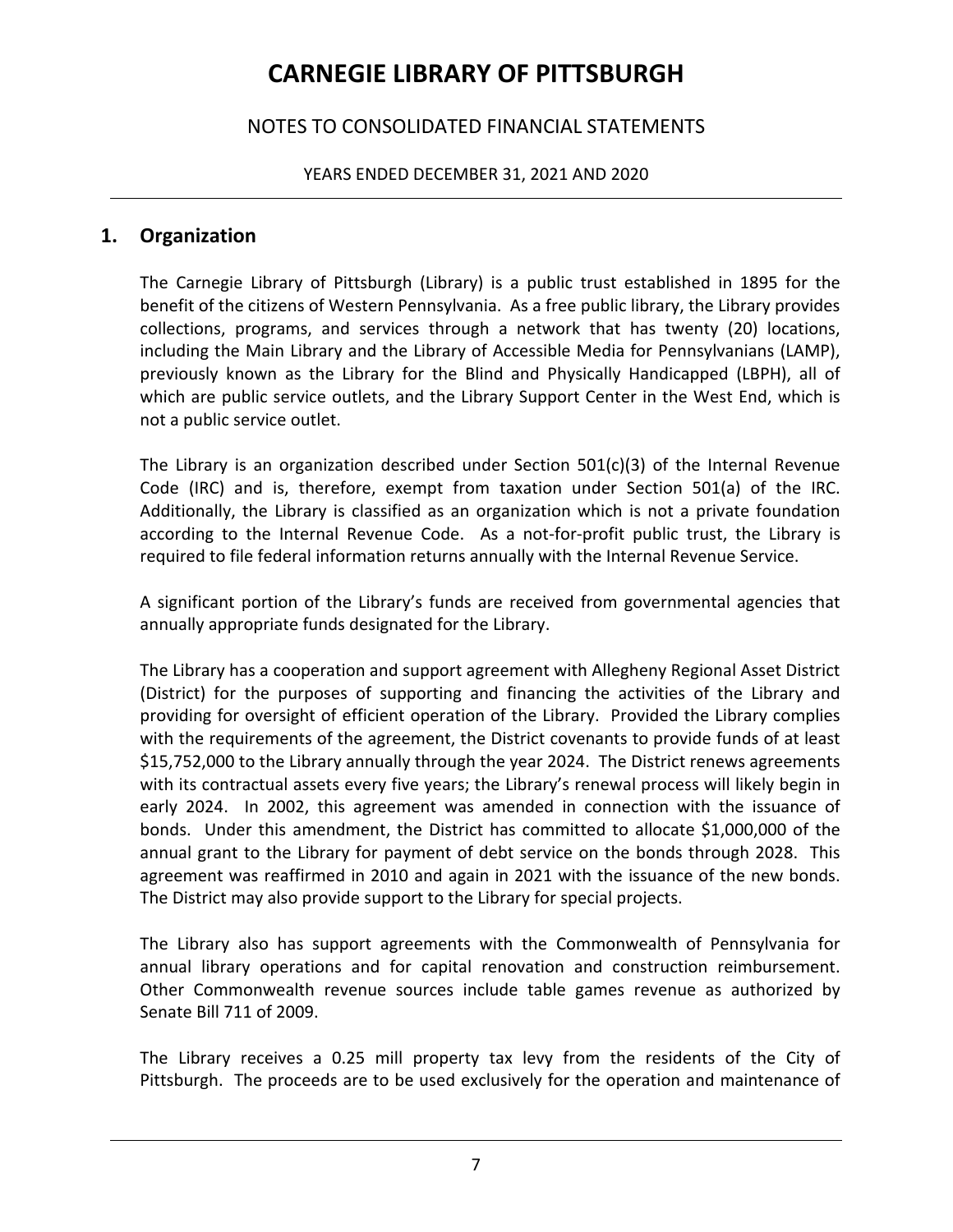## NOTES TO CONSOLIDATED FINANCIAL STATEMENTS

### YEARS ENDED DECEMBER 31, 2021 AND 2020

## **1. Organization**

The Carnegie Library of Pittsburgh (Library) is a public trust established in 1895 for the benefit of the citizens of Western Pennsylvania. As a free public library, the Library provides collections, programs, and services through a network that has twenty (20) locations, including the Main Library and the Library of Accessible Media for Pennsylvanians (LAMP), previously known as the Library for the Blind and Physically Handicapped (LBPH), all of which are public service outlets, and the Library Support Center in the West End, which is not a public service outlet.

The Library is an organization described under Section  $501(c)(3)$  of the Internal Revenue Code (IRC) and is, therefore, exempt from taxation under Section 501(a) of the IRC. Additionally, the Library is classified as an organization which is not a private foundation according to the Internal Revenue Code. As a not-for-profit public trust, the Library is required to file federal information returns annually with the Internal Revenue Service.

A significant portion of the Library's funds are received from governmental agencies that annually appropriate funds designated for the Library.

The Library has a cooperation and support agreement with Allegheny Regional Asset District (District) for the purposes of supporting and financing the activities of the Library and providing for oversight of efficient operation of the Library. Provided the Library complies with the requirements of the agreement, the District covenants to provide funds of at least \$15,752,000 to the Library annually through the year 2024. The District renews agreements with its contractual assets every five years; the Library's renewal process will likely begin in early 2024. In 2002, this agreement was amended in connection with the issuance of bonds. Under this amendment, the District has committed to allocate \$1,000,000 of the annual grant to the Library for payment of debt service on the bonds through 2028. This agreement was reaffirmed in 2010 and again in 2021 with the issuance of the new bonds. The District may also provide support to the Library for special projects.

The Library also has support agreements with the Commonwealth of Pennsylvania for annual library operations and for capital renovation and construction reimbursement. Other Commonwealth revenue sources include table games revenue as authorized by Senate Bill 711 of 2009.

The Library receives a 0.25 mill property tax levy from the residents of the City of Pittsburgh. The proceeds are to be used exclusively for the operation and maintenance of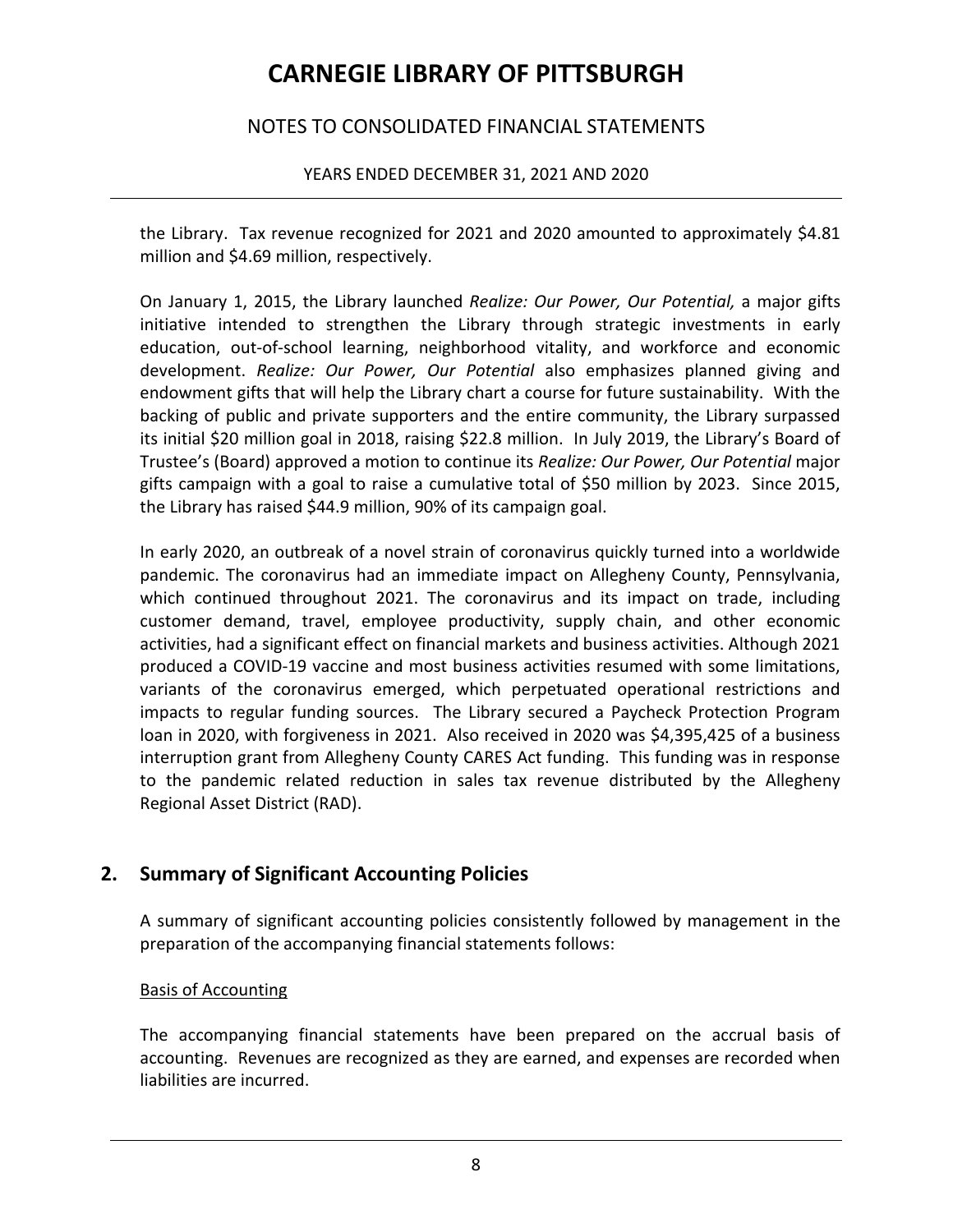## NOTES TO CONSOLIDATED FINANCIAL STATEMENTS

### YEARS ENDED DECEMBER 31, 2021 AND 2020

the Library. Tax revenue recognized for 2021 and 2020 amounted to approximately \$4.81 million and \$4.69 million, respectively.

On January 1, 2015, the Library launched *Realize: Our Power, Our Potential,* a major gifts initiative intended to strengthen the Library through strategic investments in early education, out-of-school learning, neighborhood vitality, and workforce and economic development. *Realize: Our Power, Our Potential* also emphasizes planned giving and endowment gifts that will help the Library chart a course for future sustainability. With the backing of public and private supporters and the entire community, the Library surpassed its initial \$20 million goal in 2018, raising \$22.8 million. In July 2019, the Library's Board of Trustee's (Board) approved a motion to continue its *Realize: Our Power, Our Potential* major gifts campaign with a goal to raise a cumulative total of \$50 million by 2023. Since 2015, the Library has raised \$44.9 million, 90% of its campaign goal.

In early 2020, an outbreak of a novel strain of coronavirus quickly turned into a worldwide pandemic. The coronavirus had an immediate impact on Allegheny County, Pennsylvania, which continued throughout 2021. The coronavirus and its impact on trade, including customer demand, travel, employee productivity, supply chain, and other economic activities, had a significant effect on financial markets and business activities. Although 2021 produced a COVID-19 vaccine and most business activities resumed with some limitations, variants of the coronavirus emerged, which perpetuated operational restrictions and impacts to regular funding sources. The Library secured a Paycheck Protection Program loan in 2020, with forgiveness in 2021. Also received in 2020 was \$4,395,425 of a business interruption grant from Allegheny County CARES Act funding. This funding was in response to the pandemic related reduction in sales tax revenue distributed by the Allegheny Regional Asset District (RAD).

# **2. Summary of Significant Accounting Policies**

A summary of significant accounting policies consistently followed by management in the preparation of the accompanying financial statements follows:

### Basis of Accounting

The accompanying financial statements have been prepared on the accrual basis of accounting. Revenues are recognized as they are earned, and expenses are recorded when liabilities are incurred.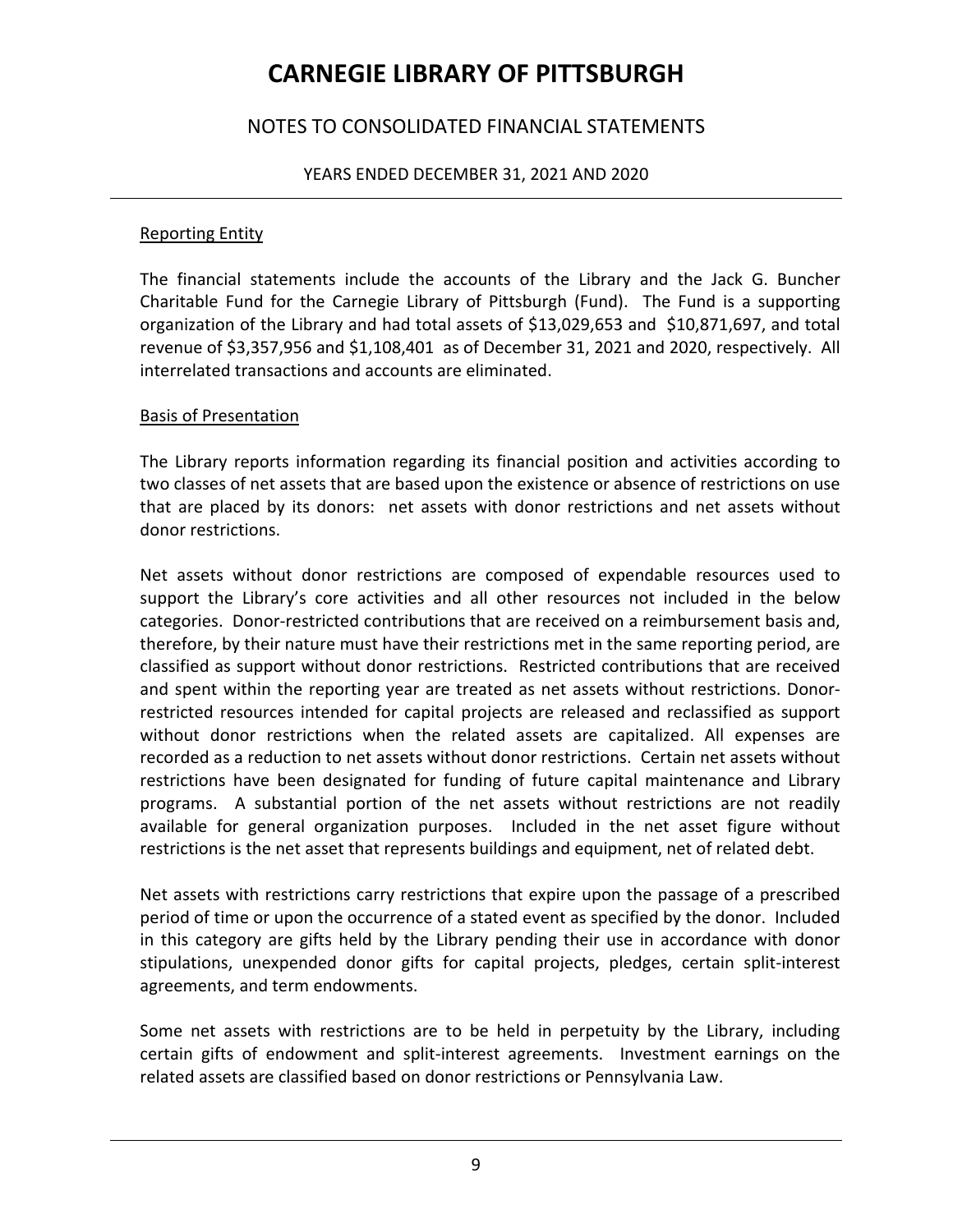## NOTES TO CONSOLIDATED FINANCIAL STATEMENTS

#### YEARS ENDED DECEMBER 31, 2021 AND 2020

#### Reporting Entity

The financial statements include the accounts of the Library and the Jack G. Buncher Charitable Fund for the Carnegie Library of Pittsburgh (Fund). The Fund is a supporting organization of the Library and had total assets of \$13,029,653 and \$10,871,697, and total revenue of \$3,357,956 and \$1,108,401 as of December 31, 2021 and 2020, respectively. All interrelated transactions and accounts are eliminated.

#### Basis of Presentation

The Library reports information regarding its financial position and activities according to two classes of net assets that are based upon the existence or absence of restrictions on use that are placed by its donors: net assets with donor restrictions and net assets without donor restrictions.

Net assets without donor restrictions are composed of expendable resources used to support the Library's core activities and all other resources not included in the below categories. Donor-restricted contributions that are received on a reimbursement basis and, therefore, by their nature must have their restrictions met in the same reporting period, are classified as support without donor restrictions. Restricted contributions that are received and spent within the reporting year are treated as net assets without restrictions. Donorrestricted resources intended for capital projects are released and reclassified as support without donor restrictions when the related assets are capitalized. All expenses are recorded as a reduction to net assets without donor restrictions. Certain net assets without restrictions have been designated for funding of future capital maintenance and Library programs. A substantial portion of the net assets without restrictions are not readily available for general organization purposes. Included in the net asset figure without restrictions is the net asset that represents buildings and equipment, net of related debt.

Net assets with restrictions carry restrictions that expire upon the passage of a prescribed period of time or upon the occurrence of a stated event as specified by the donor. Included in this category are gifts held by the Library pending their use in accordance with donor stipulations, unexpended donor gifts for capital projects, pledges, certain split-interest agreements, and term endowments.

Some net assets with restrictions are to be held in perpetuity by the Library, including certain gifts of endowment and split-interest agreements. Investment earnings on the related assets are classified based on donor restrictions or Pennsylvania Law.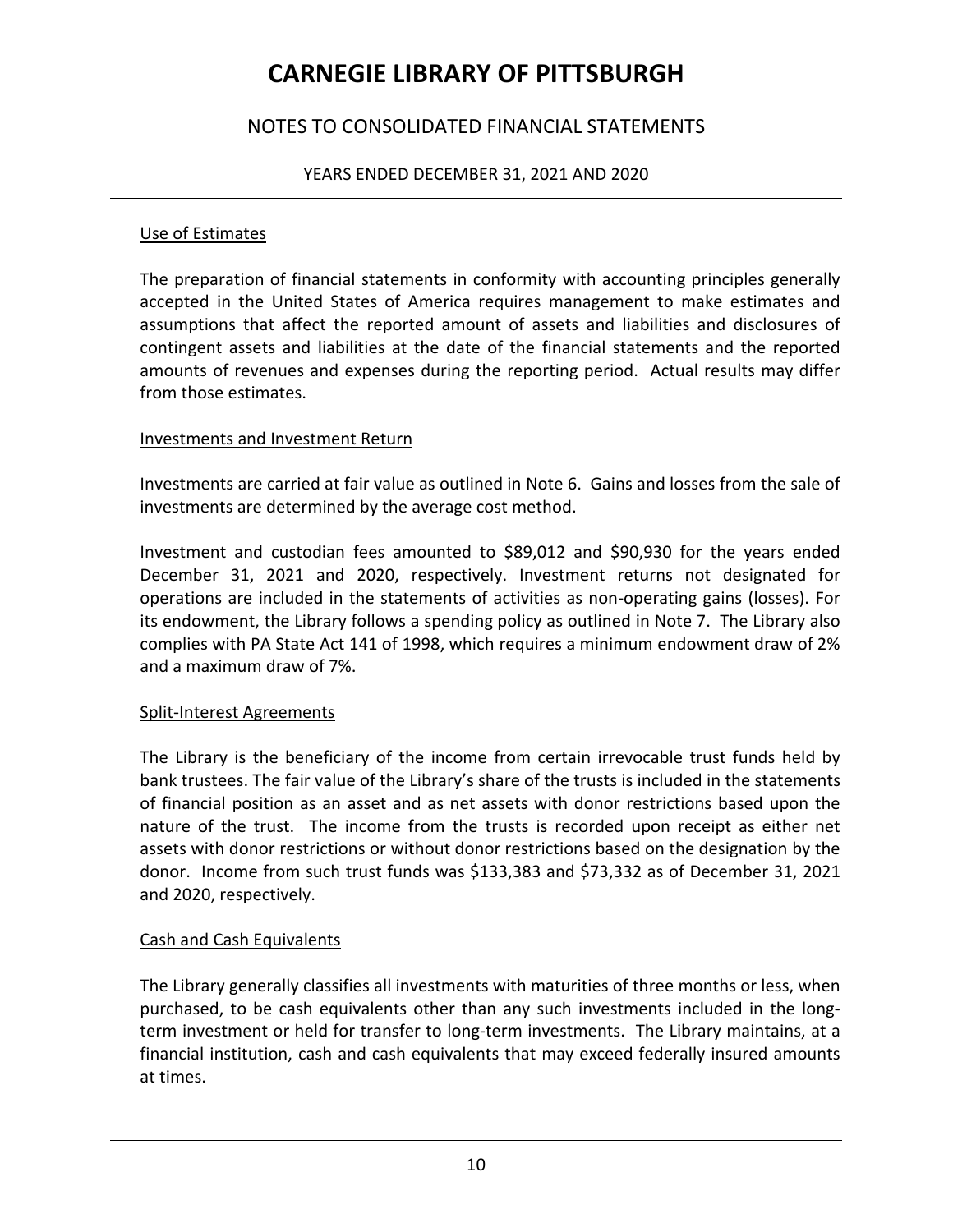# NOTES TO CONSOLIDATED FINANCIAL STATEMENTS

### YEARS ENDED DECEMBER 31, 2021 AND 2020

#### Use of Estimates

The preparation of financial statements in conformity with accounting principles generally accepted in the United States of America requires management to make estimates and assumptions that affect the reported amount of assets and liabilities and disclosures of contingent assets and liabilities at the date of the financial statements and the reported amounts of revenues and expenses during the reporting period. Actual results may differ from those estimates.

#### Investments and Investment Return

Investments are carried at fair value as outlined in Note 6. Gains and losses from the sale of investments are determined by the average cost method.

Investment and custodian fees amounted to \$89,012 and \$90,930 for the years ended December 31, 2021 and 2020, respectively. Investment returns not designated for operations are included in the statements of activities as non-operating gains (losses). For its endowment, the Library follows a spending policy as outlined in Note 7. The Library also complies with PA State Act 141 of 1998, which requires a minimum endowment draw of 2% and a maximum draw of 7%.

#### Split-Interest Agreements

The Library is the beneficiary of the income from certain irrevocable trust funds held by bank trustees. The fair value of the Library's share of the trusts is included in the statements of financial position as an asset and as net assets with donor restrictions based upon the nature of the trust. The income from the trusts is recorded upon receipt as either net assets with donor restrictions or without donor restrictions based on the designation by the donor. Income from such trust funds was \$133,383 and \$73,332 as of December 31, 2021 and 2020, respectively.

#### Cash and Cash Equivalents

The Library generally classifies all investments with maturities of three months or less, when purchased, to be cash equivalents other than any such investments included in the longterm investment or held for transfer to long-term investments. The Library maintains, at a financial institution, cash and cash equivalents that may exceed federally insured amounts at times.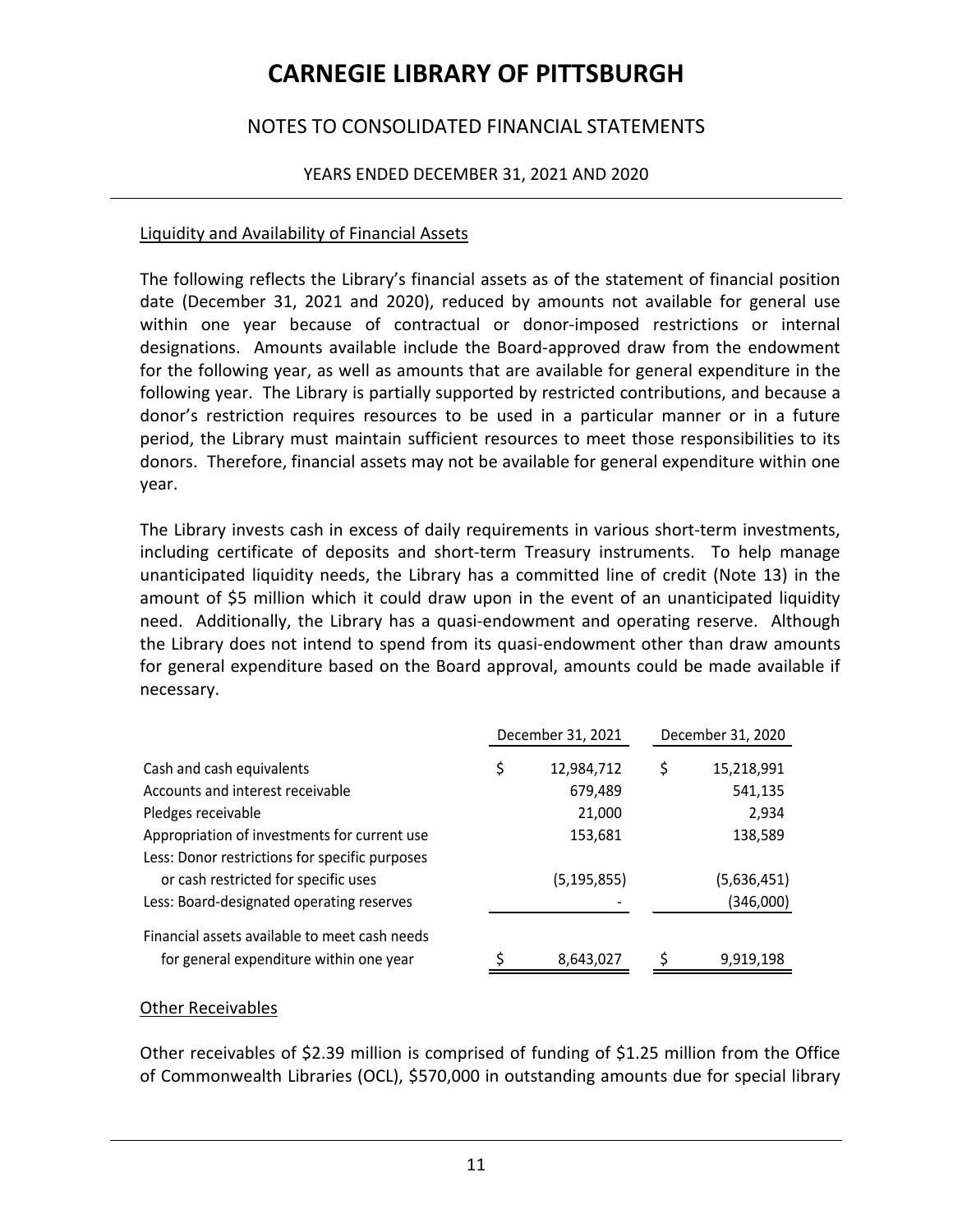# NOTES TO CONSOLIDATED FINANCIAL STATEMENTS

### YEARS ENDED DECEMBER 31, 2021 AND 2020

#### Liquidity and Availability of Financial Assets

The following reflects the Library's financial assets as of the statement of financial position date (December 31, 2021 and 2020), reduced by amounts not available for general use within one year because of contractual or donor-imposed restrictions or internal designations. Amounts available include the Board-approved draw from the endowment for the following year, as well as amounts that are available for general expenditure in the following year. The Library is partially supported by restricted contributions, and because a donor's restriction requires resources to be used in a particular manner or in a future period, the Library must maintain sufficient resources to meet those responsibilities to its donors. Therefore, financial assets may not be available for general expenditure within one year.

The Library invests cash in excess of daily requirements in various short-term investments, including certificate of deposits and short-term Treasury instruments. To help manage unanticipated liquidity needs, the Library has a committed line of credit (Note 13) in the amount of \$5 million which it could draw upon in the event of an unanticipated liquidity need. Additionally, the Library has a quasi-endowment and operating reserve. Although the Library does not intend to spend from its quasi-endowment other than draw amounts for general expenditure based on the Board approval, amounts could be made available if necessary.

|                                                | December 31, 2021 | December 31, 2020 |             |  |
|------------------------------------------------|-------------------|-------------------|-------------|--|
| Cash and cash equivalents                      | \$<br>12,984,712  | S                 | 15,218,991  |  |
| Accounts and interest receivable               | 679,489           |                   | 541,135     |  |
| Pledges receivable                             | 21,000            |                   | 2,934       |  |
| Appropriation of investments for current use   | 153,681           |                   | 138,589     |  |
| Less: Donor restrictions for specific purposes |                   |                   |             |  |
| or cash restricted for specific uses           | (5, 195, 855)     |                   | (5,636,451) |  |
| Less: Board-designated operating reserves      |                   |                   | (346,000)   |  |
| Financial assets available to meet cash needs  |                   |                   |             |  |
| for general expenditure within one year        | 8,643,027         |                   | 9,919,198   |  |

#### Other Receivables

Other receivables of \$2.39 million is comprised of funding of \$1.25 million from the Office of Commonwealth Libraries (OCL), \$570,000 in outstanding amounts due for special library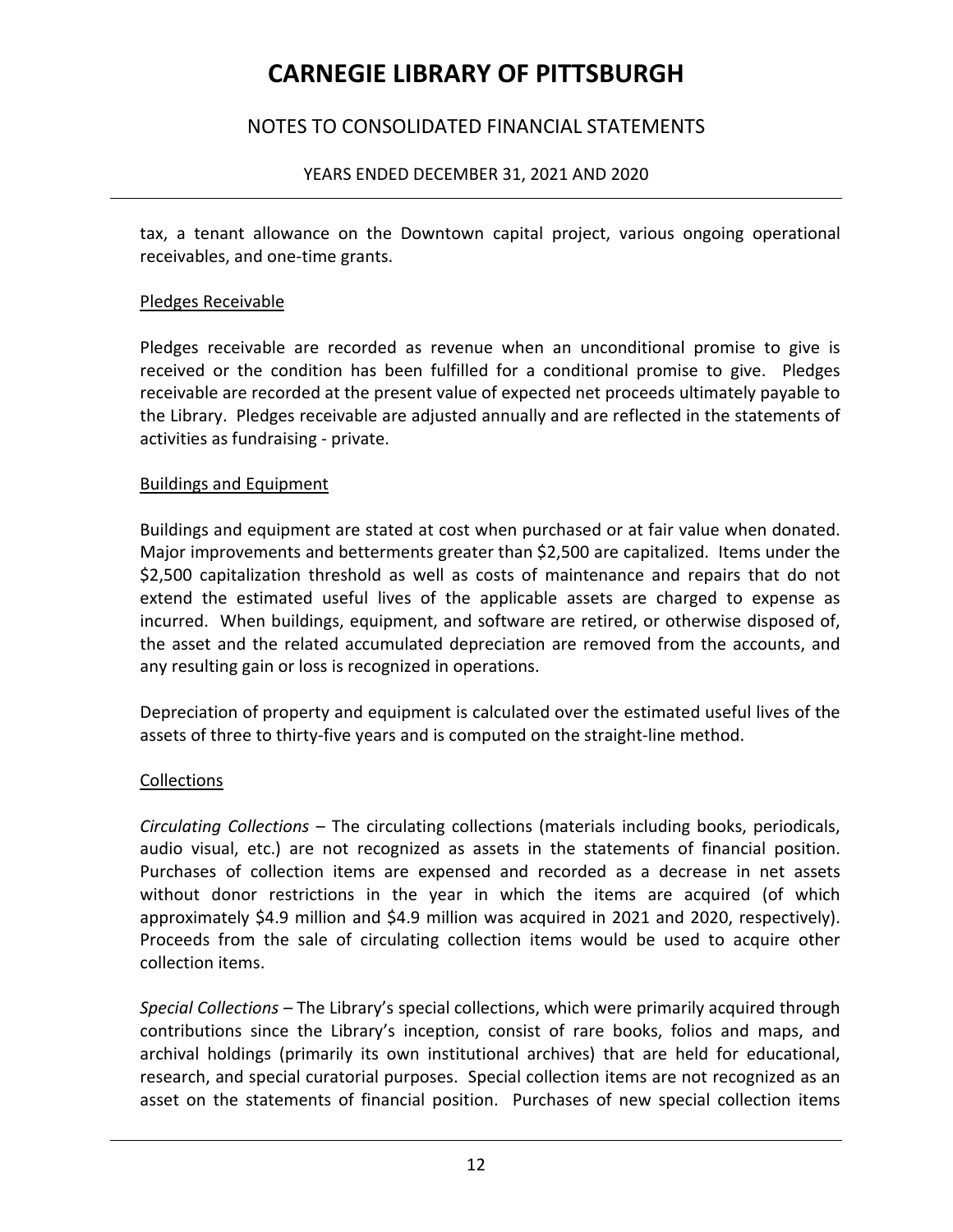## NOTES TO CONSOLIDATED FINANCIAL STATEMENTS

### YEARS ENDED DECEMBER 31, 2021 AND 2020

tax, a tenant allowance on the Downtown capital project, various ongoing operational receivables, and one-time grants.

#### Pledges Receivable

Pledges receivable are recorded as revenue when an unconditional promise to give is received or the condition has been fulfilled for a conditional promise to give. Pledges receivable are recorded at the present value of expected net proceeds ultimately payable to the Library. Pledges receivable are adjusted annually and are reflected in the statements of activities as fundraising - private.

#### Buildings and Equipment

Buildings and equipment are stated at cost when purchased or at fair value when donated. Major improvements and betterments greater than \$2,500 are capitalized. Items under the \$2,500 capitalization threshold as well as costs of maintenance and repairs that do not extend the estimated useful lives of the applicable assets are charged to expense as incurred. When buildings, equipment, and software are retired, or otherwise disposed of, the asset and the related accumulated depreciation are removed from the accounts, and any resulting gain or loss is recognized in operations.

Depreciation of property and equipment is calculated over the estimated useful lives of the assets of three to thirty-five years and is computed on the straight-line method.

### Collections

*Circulating Collections* – The circulating collections (materials including books, periodicals, audio visual, etc.) are not recognized as assets in the statements of financial position. Purchases of collection items are expensed and recorded as a decrease in net assets without donor restrictions in the year in which the items are acquired (of which approximately \$4.9 million and \$4.9 million was acquired in 2021 and 2020, respectively). Proceeds from the sale of circulating collection items would be used to acquire other collection items.

*Special Collections –* The Library's special collections, which were primarily acquired through contributions since the Library's inception, consist of rare books, folios and maps, and archival holdings (primarily its own institutional archives) that are held for educational, research, and special curatorial purposes. Special collection items are not recognized as an asset on the statements of financial position. Purchases of new special collection items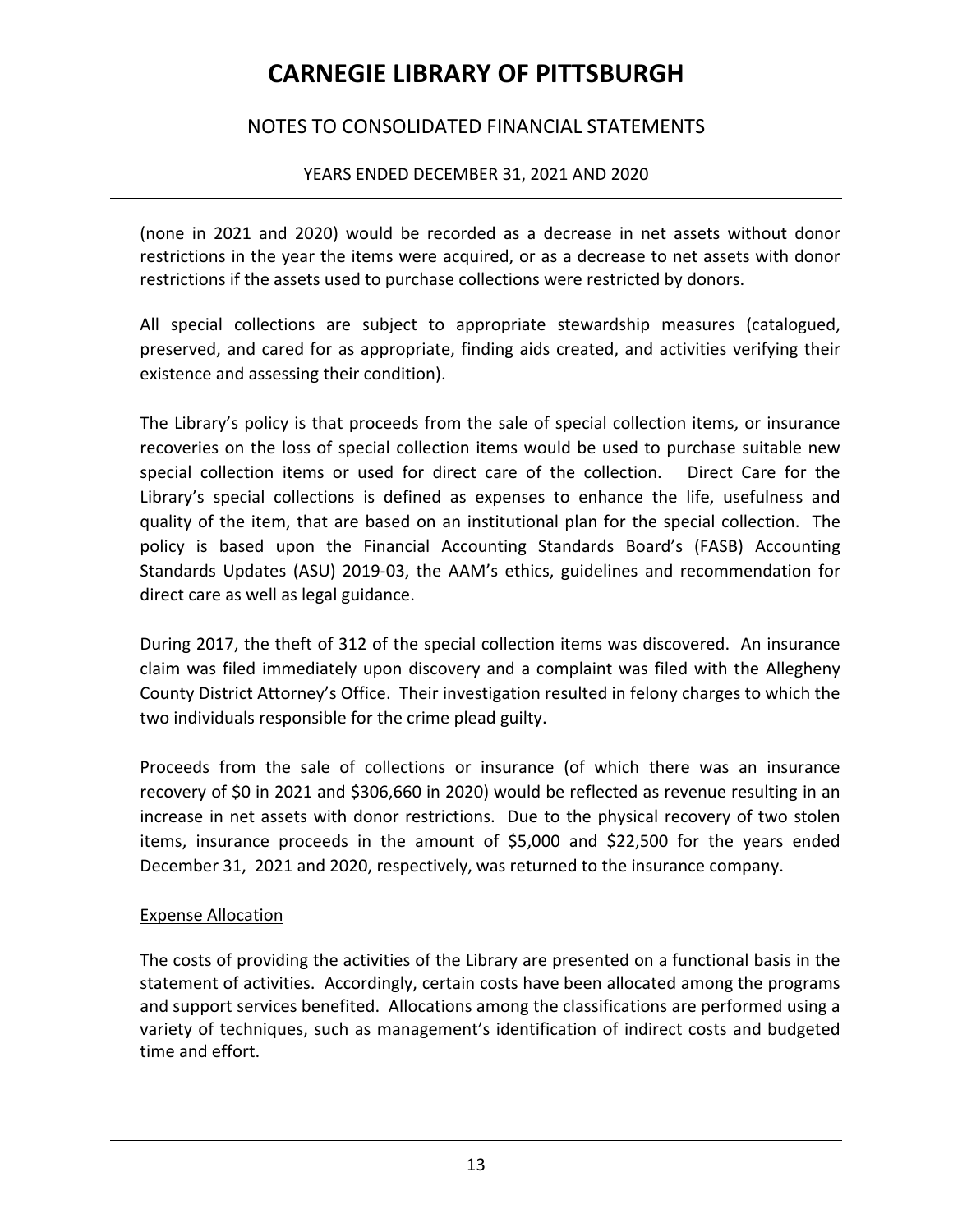## NOTES TO CONSOLIDATED FINANCIAL STATEMENTS

### YEARS ENDED DECEMBER 31, 2021 AND 2020

(none in 2021 and 2020) would be recorded as a decrease in net assets without donor restrictions in the year the items were acquired, or as a decrease to net assets with donor restrictions if the assets used to purchase collections were restricted by donors.

All special collections are subject to appropriate stewardship measures (catalogued, preserved, and cared for as appropriate, finding aids created, and activities verifying their existence and assessing their condition).

The Library's policy is that proceeds from the sale of special collection items, or insurance recoveries on the loss of special collection items would be used to purchase suitable new special collection items or used for direct care of the collection. Direct Care for the Library's special collections is defined as expenses to enhance the life, usefulness and quality of the item, that are based on an institutional plan for the special collection. The policy is based upon the Financial Accounting Standards Board's (FASB) Accounting Standards Updates (ASU) 2019-03, the AAM's ethics, guidelines and recommendation for direct care as well as legal guidance.

During 2017, the theft of 312 of the special collection items was discovered. An insurance claim was filed immediately upon discovery and a complaint was filed with the Allegheny County District Attorney's Office. Their investigation resulted in felony charges to which the two individuals responsible for the crime plead guilty.

Proceeds from the sale of collections or insurance (of which there was an insurance recovery of \$0 in 2021 and \$306,660 in 2020) would be reflected as revenue resulting in an increase in net assets with donor restrictions. Due to the physical recovery of two stolen items, insurance proceeds in the amount of \$5,000 and \$22,500 for the years ended December 31, 2021 and 2020, respectively, was returned to the insurance company.

### Expense Allocation

The costs of providing the activities of the Library are presented on a functional basis in the statement of activities. Accordingly, certain costs have been allocated among the programs and support services benefited. Allocations among the classifications are performed using a variety of techniques, such as management's identification of indirect costs and budgeted time and effort.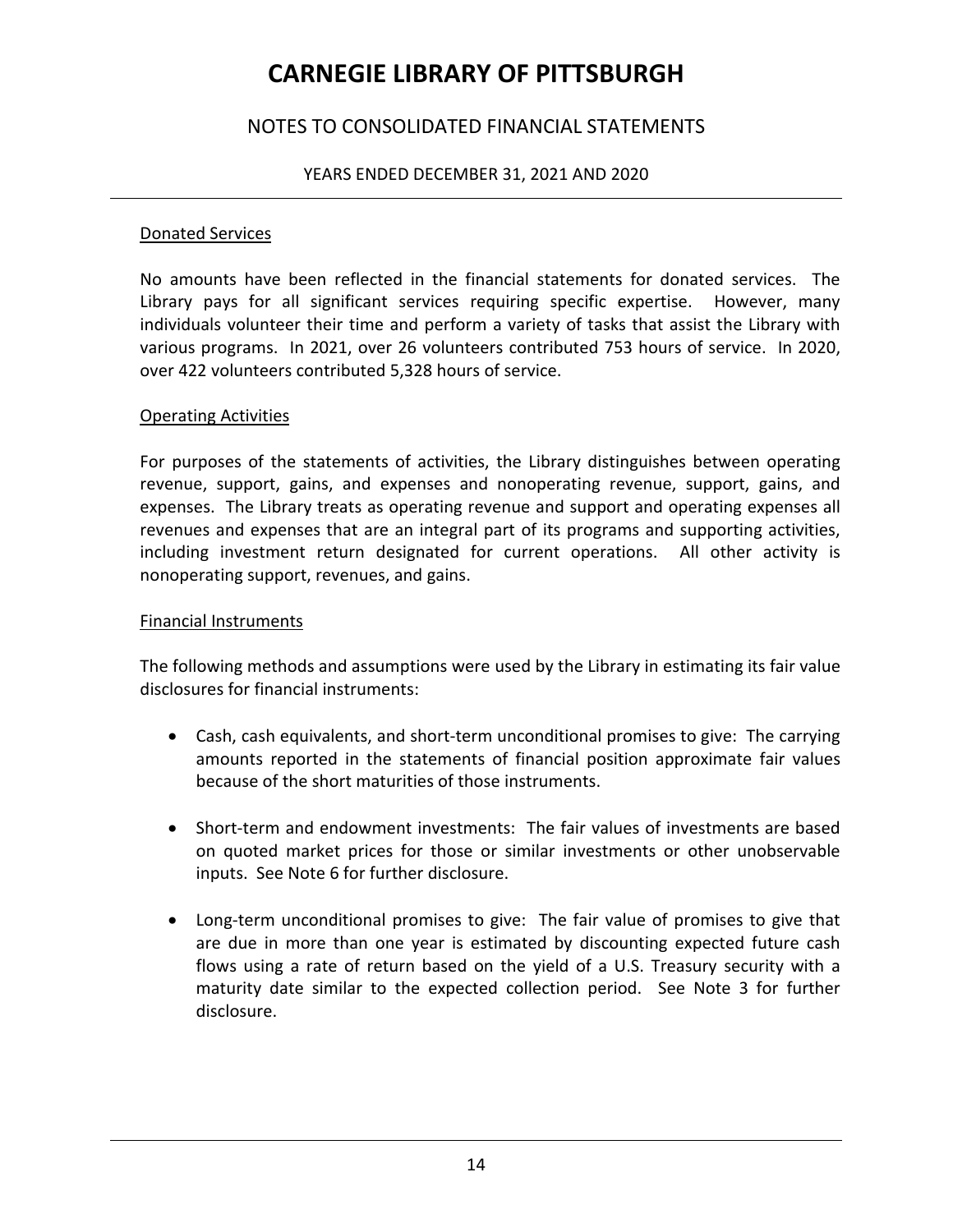## NOTES TO CONSOLIDATED FINANCIAL STATEMENTS

### YEARS ENDED DECEMBER 31, 2021 AND 2020

#### Donated Services

No amounts have been reflected in the financial statements for donated services. The Library pays for all significant services requiring specific expertise. However, many individuals volunteer their time and perform a variety of tasks that assist the Library with various programs. In 2021, over 26 volunteers contributed 753 hours of service. In 2020, over 422 volunteers contributed 5,328 hours of service.

#### Operating Activities

For purposes of the statements of activities, the Library distinguishes between operating revenue, support, gains, and expenses and nonoperating revenue, support, gains, and expenses. The Library treats as operating revenue and support and operating expenses all revenues and expenses that are an integral part of its programs and supporting activities, including investment return designated for current operations. All other activity is nonoperating support, revenues, and gains.

#### Financial Instruments

The following methods and assumptions were used by the Library in estimating its fair value disclosures for financial instruments:

- Cash, cash equivalents, and short-term unconditional promises to give: The carrying amounts reported in the statements of financial position approximate fair values because of the short maturities of those instruments.
- Short-term and endowment investments: The fair values of investments are based on quoted market prices for those or similar investments or other unobservable inputs. See Note 6 for further disclosure.
- Long-term unconditional promises to give: The fair value of promises to give that are due in more than one year is estimated by discounting expected future cash flows using a rate of return based on the yield of a U.S. Treasury security with a maturity date similar to the expected collection period. See Note 3 for further disclosure.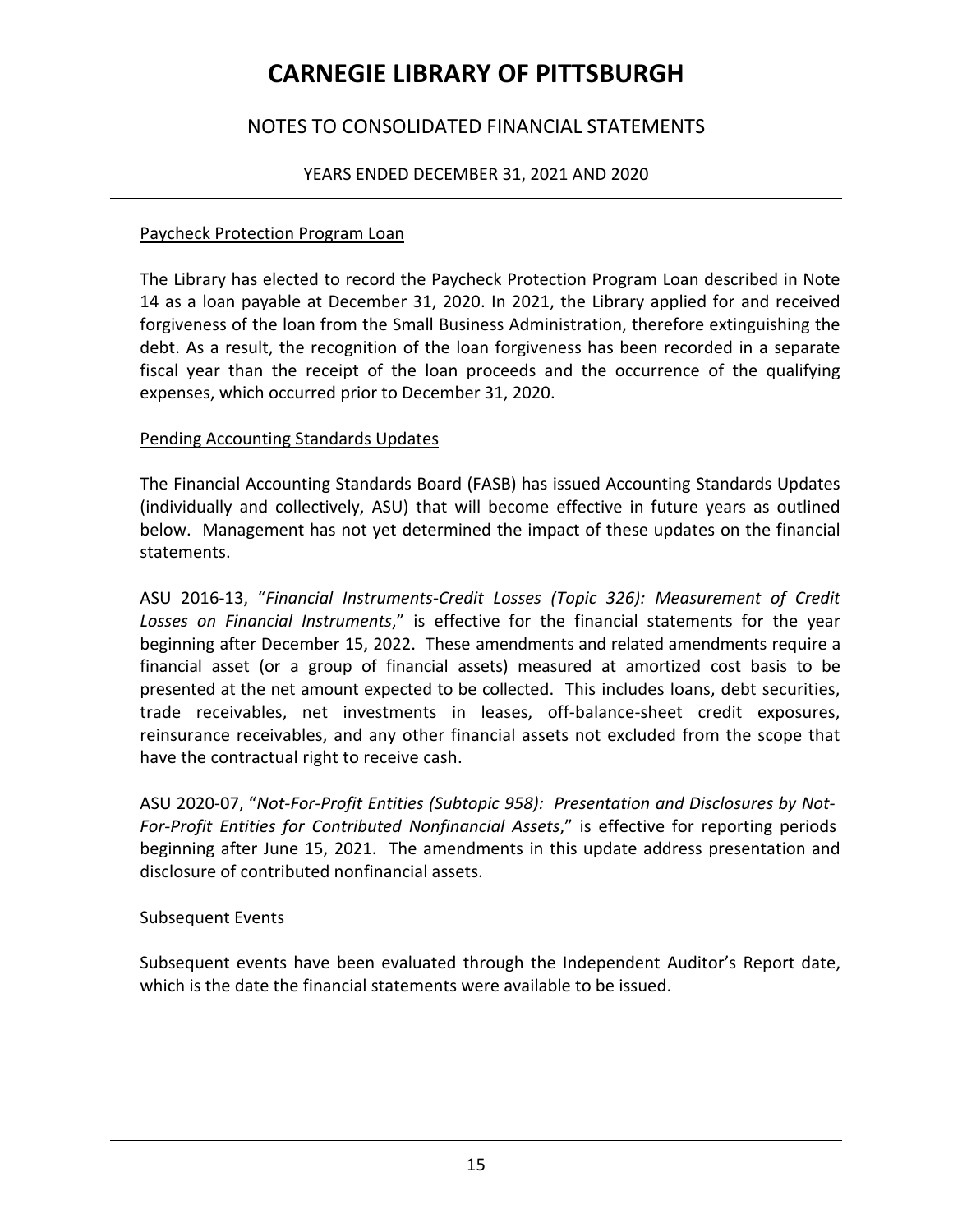## NOTES TO CONSOLIDATED FINANCIAL STATEMENTS

### YEARS ENDED DECEMBER 31, 2021 AND 2020

#### Paycheck Protection Program Loan

The Library has elected to record the Paycheck Protection Program Loan described in Note 14 as a loan payable at December 31, 2020. In 2021, the Library applied for and received forgiveness of the loan from the Small Business Administration, therefore extinguishing the debt. As a result, the recognition of the loan forgiveness has been recorded in a separate fiscal year than the receipt of the loan proceeds and the occurrence of the qualifying expenses, which occurred prior to December 31, 2020.

#### Pending Accounting Standards Updates

The Financial Accounting Standards Board (FASB) has issued Accounting Standards Updates (individually and collectively, ASU) that will become effective in future years as outlined below. Management has not yet determined the impact of these updates on the financial statements.

ASU 2016-13, "*Financial Instruments-Credit Losses (Topic 326): Measurement of Credit Losses on Financial Instruments*," is effective for the financial statements for the year beginning after December 15, 2022. These amendments and related amendments require a financial asset (or a group of financial assets) measured at amortized cost basis to be presented at the net amount expected to be collected. This includes loans, debt securities, trade receivables, net investments in leases, off-balance-sheet credit exposures, reinsurance receivables, and any other financial assets not excluded from the scope that have the contractual right to receive cash.

ASU 2020-07, "*Not-For-Profit Entities (Subtopic 958): Presentation and Disclosures by Not-For-Profit Entities for Contributed Nonfinancial Assets*," is effective for reporting periods beginning after June 15, 2021. The amendments in this update address presentation and disclosure of contributed nonfinancial assets.

#### Subsequent Events

Subsequent events have been evaluated through the Independent Auditor's Report date, which is the date the financial statements were available to be issued.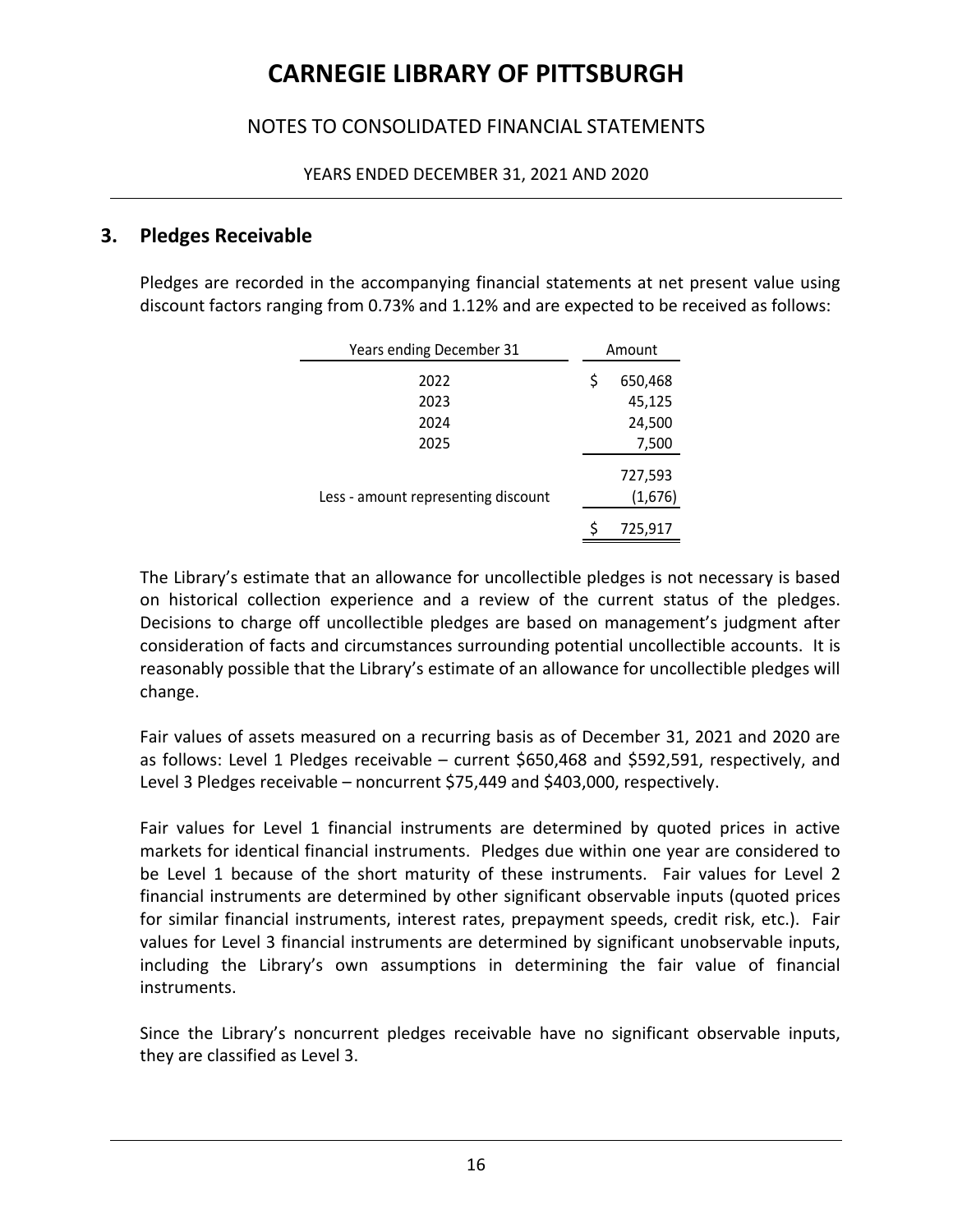# NOTES TO CONSOLIDATED FINANCIAL STATEMENTS

### YEARS ENDED DECEMBER 31, 2021 AND 2020

### **3. Pledges Receivable**

Pledges are recorded in the accompanying financial statements at net present value using discount factors ranging from 0.73% and 1.12% and are expected to be received as follows:

| Years ending December 31            | Amount |                    |  |  |
|-------------------------------------|--------|--------------------|--|--|
| 2022                                | S      | 650,468            |  |  |
| 2023                                |        | 45,125             |  |  |
| 2024                                |        | 24,500             |  |  |
| 2025                                |        | 7,500              |  |  |
| Less - amount representing discount |        | 727,593<br>(1,676) |  |  |
|                                     |        | 725,917            |  |  |

The Library's estimate that an allowance for uncollectible pledges is not necessary is based on historical collection experience and a review of the current status of the pledges. Decisions to charge off uncollectible pledges are based on management's judgment after consideration of facts and circumstances surrounding potential uncollectible accounts. It is reasonably possible that the Library's estimate of an allowance for uncollectible pledges will change.

Fair values of assets measured on a recurring basis as of December 31, 2021 and 2020 are as follows: Level 1 Pledges receivable – current \$650,468 and \$592,591, respectively, and Level 3 Pledges receivable – noncurrent \$75,449 and \$403,000, respectively.

Fair values for Level 1 financial instruments are determined by quoted prices in active markets for identical financial instruments. Pledges due within one year are considered to be Level 1 because of the short maturity of these instruments. Fair values for Level 2 financial instruments are determined by other significant observable inputs (quoted prices for similar financial instruments, interest rates, prepayment speeds, credit risk, etc.). Fair values for Level 3 financial instruments are determined by significant unobservable inputs, including the Library's own assumptions in determining the fair value of financial instruments.

Since the Library's noncurrent pledges receivable have no significant observable inputs, they are classified as Level 3.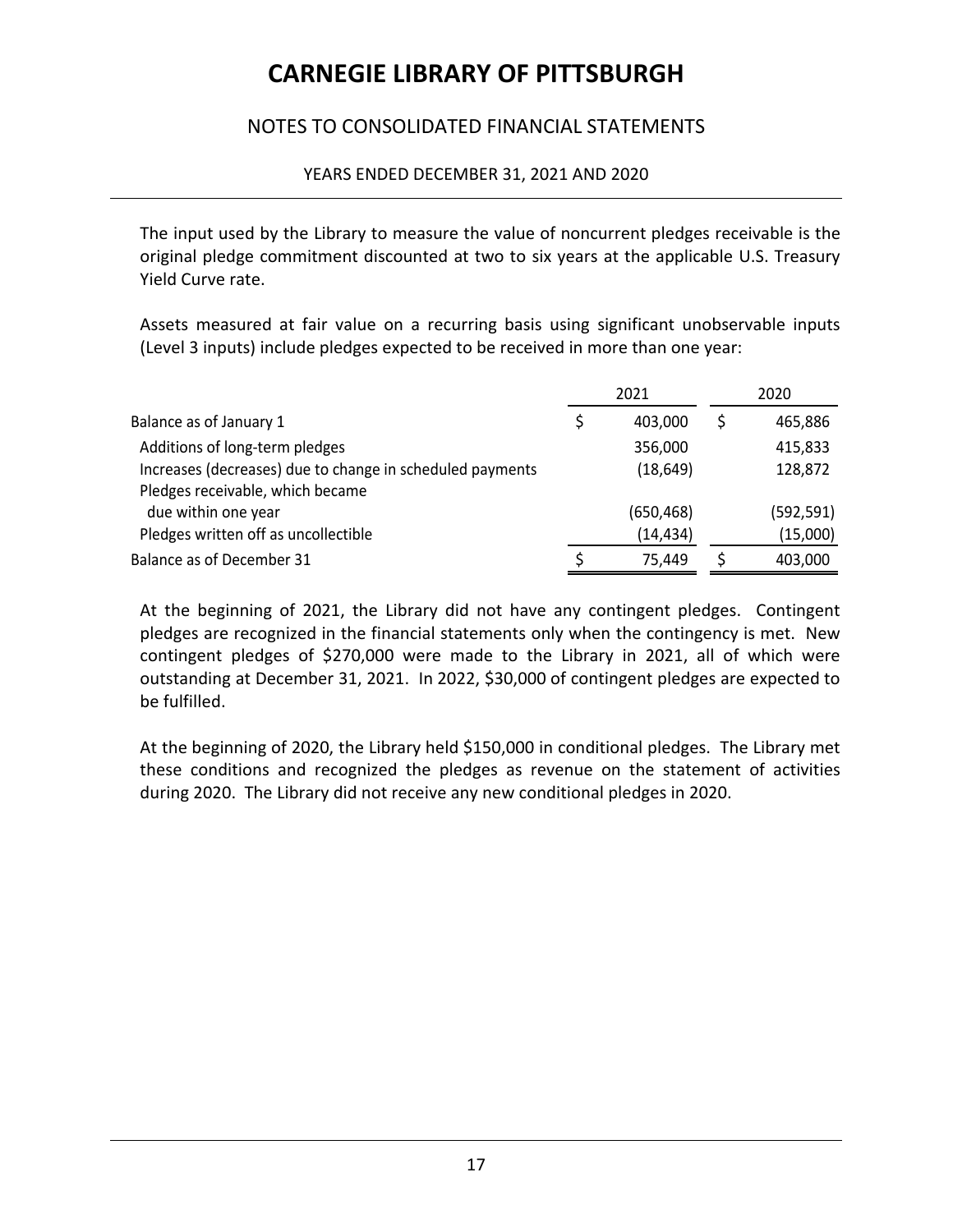## NOTES TO CONSOLIDATED FINANCIAL STATEMENTS

YEARS ENDED DECEMBER 31, 2021 AND 2020

The input used by the Library to measure the value of noncurrent pledges receivable is the original pledge commitment discounted at two to six years at the applicable U.S. Treasury Yield Curve rate.

Assets measured at fair value on a recurring basis using significant unobservable inputs (Level 3 inputs) include pledges expected to be received in more than one year:

|                                                           | 2021       | 2020 |            |  |
|-----------------------------------------------------------|------------|------|------------|--|
| Balance as of January 1                                   | 403,000    |      | 465,886    |  |
| Additions of long-term pledges                            | 356,000    |      | 415,833    |  |
| Increases (decreases) due to change in scheduled payments | (18, 649)  |      | 128,872    |  |
| Pledges receivable, which became                          |            |      |            |  |
| due within one year                                       | (650, 468) |      | (592, 591) |  |
| Pledges written off as uncollectible                      | (14, 434)  |      | (15,000)   |  |
| Balance as of December 31                                 | 75.449     |      | 403,000    |  |

At the beginning of 2021, the Library did not have any contingent pledges. Contingent pledges are recognized in the financial statements only when the contingency is met. New contingent pledges of \$270,000 were made to the Library in 2021, all of which were outstanding at December 31, 2021. In 2022, \$30,000 of contingent pledges are expected to be fulfilled.

At the beginning of 2020, the Library held \$150,000 in conditional pledges. The Library met these conditions and recognized the pledges as revenue on the statement of activities during 2020. The Library did not receive any new conditional pledges in 2020.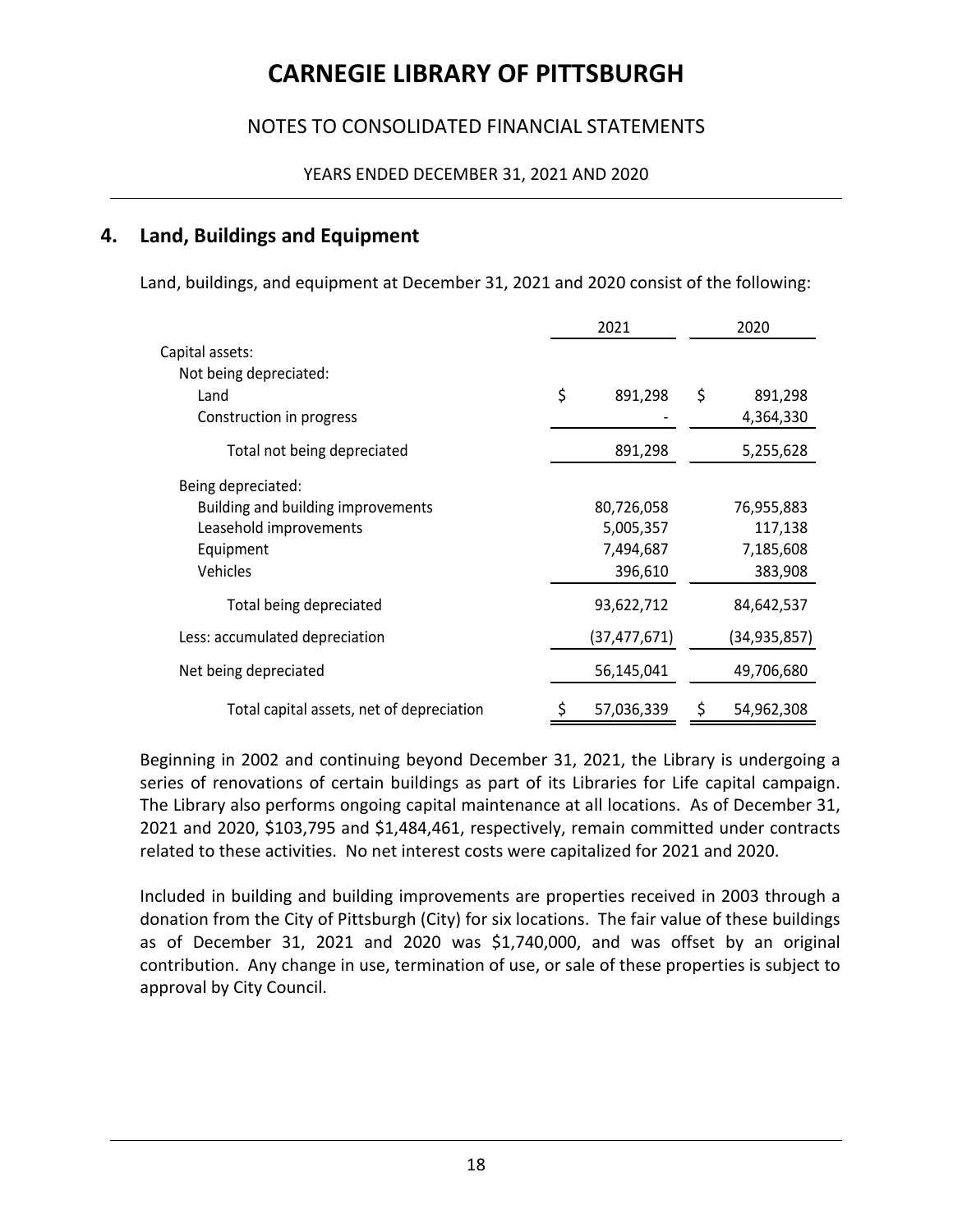# NOTES TO CONSOLIDATED FINANCIAL STATEMENTS

### YEARS ENDED DECEMBER 31, 2021 AND 2020

## **4. Land, Buildings and Equipment**

Land, buildings, and equipment at December 31, 2021 and 2020 consist of the following:

|                                           | 2021          | 2020             |
|-------------------------------------------|---------------|------------------|
| Capital assets:                           |               |                  |
| Not being depreciated:                    |               |                  |
| Land                                      | \$<br>891,298 | \$<br>891,298    |
| Construction in progress                  |               | 4,364,330        |
| Total not being depreciated               | 891,298       | 5,255,628        |
| Being depreciated:                        |               |                  |
| Building and building improvements        | 80,726,058    | 76,955,883       |
| Leasehold improvements                    | 5,005,357     | 117,138          |
| Equipment                                 | 7,494,687     | 7,185,608        |
| <b>Vehicles</b>                           | 396,610       | 383,908          |
| Total being depreciated                   | 93,622,712    | 84,642,537       |
| Less: accumulated depreciation            | (37,477,671)  | (34,935,857)     |
| Net being depreciated                     | 56,145,041    | 49,706,680       |
| Total capital assets, net of depreciation | 57,036,339    | \$<br>54,962,308 |

Beginning in 2002 and continuing beyond December 31, 2021, the Library is undergoing a series of renovations of certain buildings as part of its Libraries for Life capital campaign. The Library also performs ongoing capital maintenance at all locations. As of December 31, 2021 and 2020, \$103,795 and \$1,484,461, respectively, remain committed under contracts related to these activities. No net interest costs were capitalized for 2021 and 2020.

Included in building and building improvements are properties received in 2003 through a donation from the City of Pittsburgh (City) for six locations. The fair value of these buildings as of December 31, 2021 and 2020 was \$1,740,000, and was offset by an original contribution. Any change in use, termination of use, or sale of these properties is subject to approval by City Council.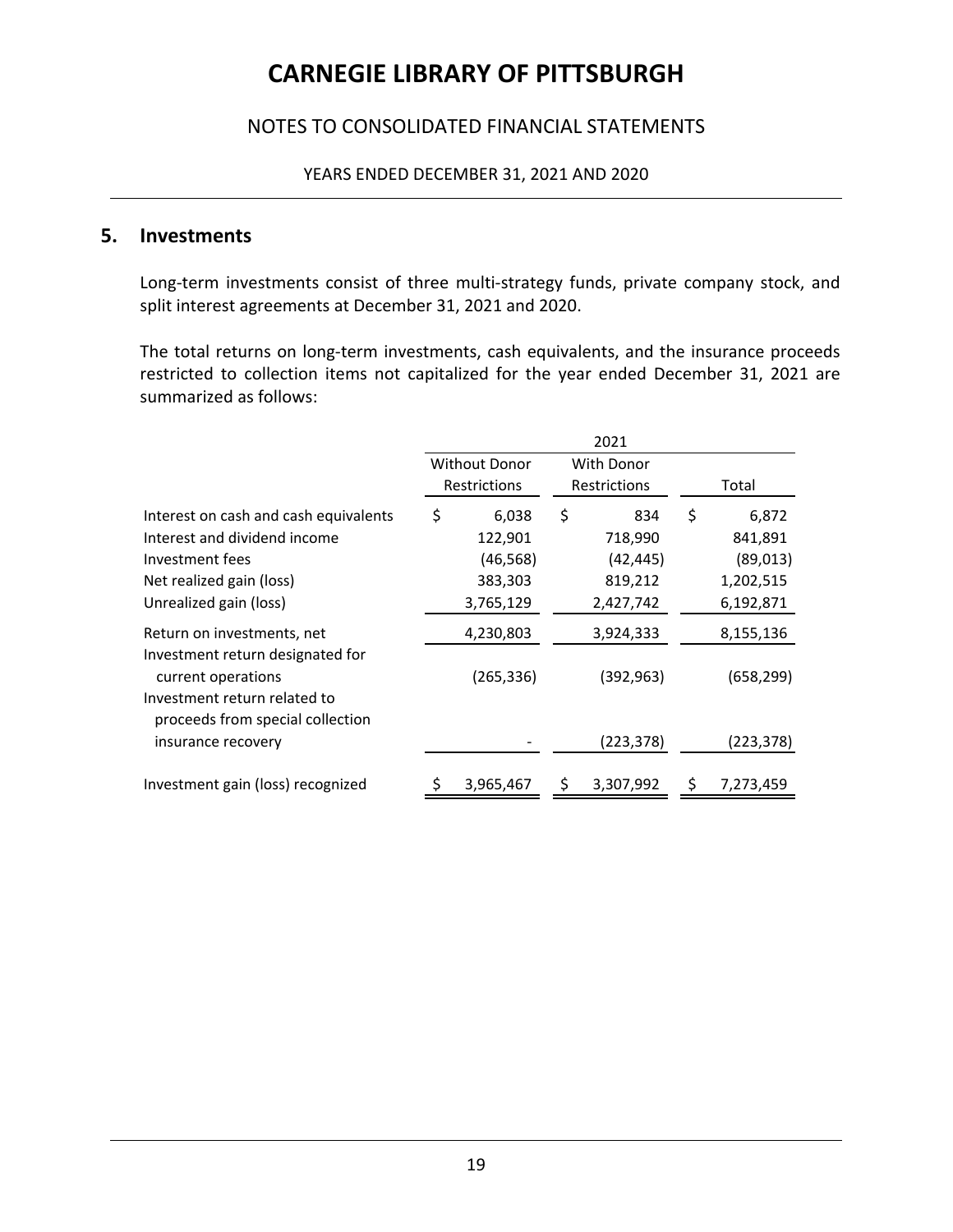## NOTES TO CONSOLIDATED FINANCIAL STATEMENTS

### YEARS ENDED DECEMBER 31, 2021 AND 2020

### **5. Investments**

Long-term investments consist of three multi-strategy funds, private company stock, and split interest agreements at December 31, 2021 and 2020.

The total returns on long-term investments, cash equivalents, and the insurance proceeds restricted to collection items not capitalized for the year ended December 31, 2021 are summarized as follows:

|                                                                  | 2021                 |                     |    |              |    |            |  |
|------------------------------------------------------------------|----------------------|---------------------|----|--------------|----|------------|--|
|                                                                  | <b>Without Donor</b> |                     |    | With Donor   |    |            |  |
|                                                                  |                      | <b>Restrictions</b> |    | Restrictions |    | Total      |  |
| Interest on cash and cash equivalents                            | \$                   | 6,038               | \$ | 834          | \$ | 6,872      |  |
| Interest and dividend income                                     |                      | 122,901             |    | 718,990      |    | 841,891    |  |
| Investment fees                                                  |                      | (46, 568)           |    | (42, 445)    |    | (89, 013)  |  |
| Net realized gain (loss)                                         |                      | 383,303             |    | 819,212      |    | 1,202,515  |  |
| Unrealized gain (loss)                                           |                      | 3,765,129           |    | 2,427,742    |    | 6,192,871  |  |
| Return on investments, net                                       |                      | 4,230,803           |    | 3,924,333    |    | 8,155,136  |  |
| Investment return designated for<br>current operations           |                      | (265, 336)          |    | (392, 963)   |    | (658, 299) |  |
| Investment return related to<br>proceeds from special collection |                      |                     |    |              |    |            |  |
| insurance recovery                                               |                      |                     |    | (223, 378)   |    | (223, 378) |  |
| Investment gain (loss) recognized                                |                      | 3,965,467           | \$ | 3,307,992    | S  | 7,273,459  |  |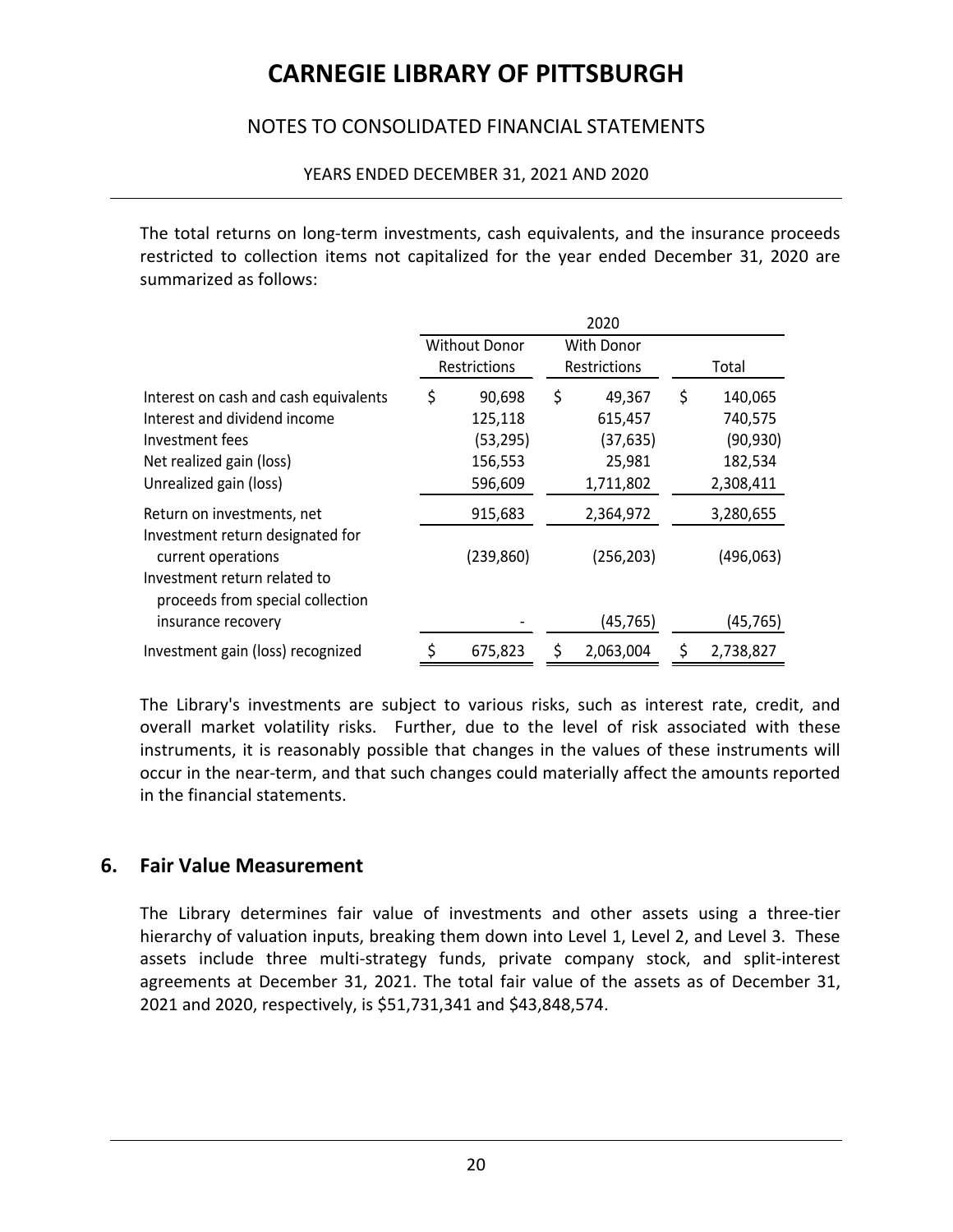## NOTES TO CONSOLIDATED FINANCIAL STATEMENTS

YEARS ENDED DECEMBER 31, 2021 AND 2020

The total returns on long-term investments, cash equivalents, and the insurance proceeds restricted to collection items not capitalized for the year ended December 31, 2020 are summarized as follows:

|                                                                                                                                                | 2020 |                                                      |    |                                                       |    |                                                         |
|------------------------------------------------------------------------------------------------------------------------------------------------|------|------------------------------------------------------|----|-------------------------------------------------------|----|---------------------------------------------------------|
|                                                                                                                                                |      | <b>Without Donor</b><br>Restrictions                 |    | With Donor<br>Restrictions                            |    | Total                                                   |
| Interest on cash and cash equivalents<br>Interest and dividend income<br>Investment fees<br>Net realized gain (loss)<br>Unrealized gain (loss) | \$   | 90,698<br>125,118<br>(53, 295)<br>156,553<br>596,609 | \$ | 49,367<br>615,457<br>(37, 635)<br>25,981<br>1,711,802 | \$ | 140,065<br>740,575<br>(90, 930)<br>182,534<br>2,308,411 |
| Return on investments, net<br>Investment return designated for                                                                                 |      | 915,683                                              |    | 2,364,972                                             |    | 3,280,655                                               |
| current operations<br>Investment return related to<br>proceeds from special collection<br>insurance recovery                                   |      | (239, 860)                                           |    | (256, 203)<br>(45, 765)                               |    | (496,063)<br>(45, 765)                                  |
| Investment gain (loss) recognized                                                                                                              |      | 675,823                                              | Ş  | 2,063,004                                             |    | 2,738,827                                               |

The Library's investments are subject to various risks, such as interest rate, credit, and overall market volatility risks. Further, due to the level of risk associated with these instruments, it is reasonably possible that changes in the values of these instruments will occur in the near-term, and that such changes could materially affect the amounts reported in the financial statements.

## **6. Fair Value Measurement**

The Library determines fair value of investments and other assets using a three-tier hierarchy of valuation inputs, breaking them down into Level 1, Level 2, and Level 3. These assets include three multi-strategy funds, private company stock, and split-interest agreements at December 31, 2021. The total fair value of the assets as of December 31, 2021 and 2020, respectively, is \$51,731,341 and \$43,848,574.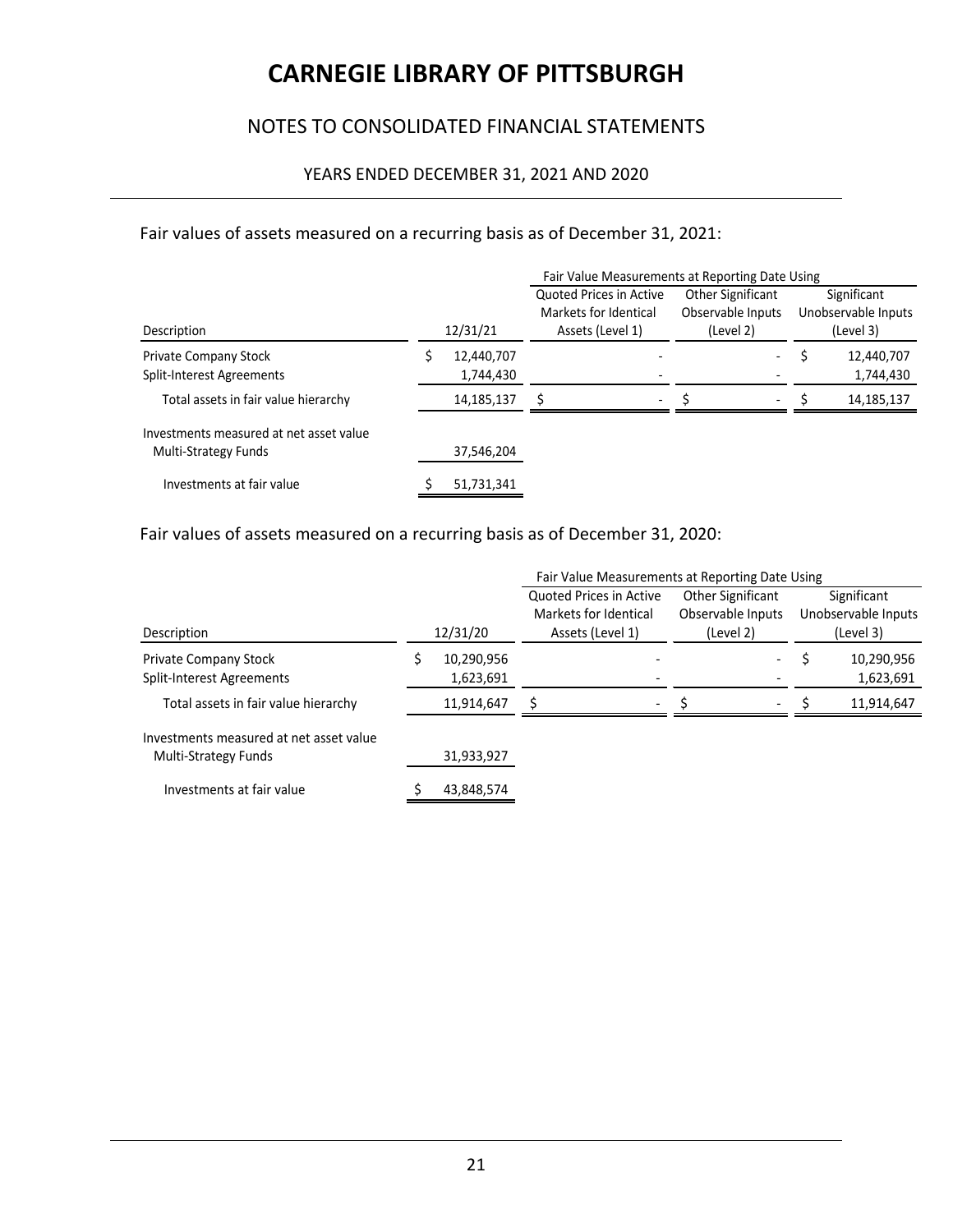# NOTES TO CONSOLIDATED FINANCIAL STATEMENTS

## YEARS ENDED DECEMBER 31, 2021 AND 2020

## Fair values of assets measured on a recurring basis as of December 31, 2021:

|                                         |            | Fair Value Measurements at Reporting Date Using |                              |                     |  |
|-----------------------------------------|------------|-------------------------------------------------|------------------------------|---------------------|--|
|                                         |            | Quoted Prices in Active                         | Other Significant            | Significant         |  |
|                                         |            | Markets for Identical                           | Observable Inputs            | Unobservable Inputs |  |
| Description                             | 12/31/21   | Assets (Level 1)                                | (Level 2)                    | (Level 3)           |  |
| Private Company Stock                   | 12.440.707 |                                                 | $\qquad \qquad \blacksquare$ | 12,440,707          |  |
| Split-Interest Agreements               | 1,744,430  |                                                 |                              | 1,744,430           |  |
| Total assets in fair value hierarchy    | 14,185,137 | $\overline{\phantom{0}}$                        | $\overline{\phantom{a}}$     | 14,185,137          |  |
| Investments measured at net asset value |            |                                                 |                              |                     |  |
| Multi-Strategy Funds                    | 37,546,204 |                                                 |                              |                     |  |
| Investments at fair value               | 51,731,341 |                                                 |                              |                     |  |

## Fair values of assets measured on a recurring basis as of December 31, 2020:

|                                                                 | Fair Value Measurements at Reporting Date Using |                                                                      |                          |                                                     |                          |  |                                                 |  |
|-----------------------------------------------------------------|-------------------------------------------------|----------------------------------------------------------------------|--------------------------|-----------------------------------------------------|--------------------------|--|-------------------------------------------------|--|
| Description                                                     | 12/31/20                                        | Quoted Prices in Active<br>Markets for Identical<br>Assets (Level 1) |                          | Other Significant<br>Observable Inputs<br>(Level 2) |                          |  | Significant<br>Unobservable Inputs<br>(Level 3) |  |
| Private Company Stock<br>Split-Interest Agreements              | 10,290,956<br>1,623,691                         |                                                                      |                          |                                                     | $\overline{\phantom{0}}$ |  | 10,290,956<br>1,623,691                         |  |
| Total assets in fair value hierarchy                            | 11,914,647                                      |                                                                      | $\overline{\phantom{a}}$ |                                                     |                          |  | 11,914,647                                      |  |
| Investments measured at net asset value<br>Multi-Strategy Funds | 31,933,927                                      |                                                                      |                          |                                                     |                          |  |                                                 |  |
| Investments at fair value                                       | 43,848,574                                      |                                                                      |                          |                                                     |                          |  |                                                 |  |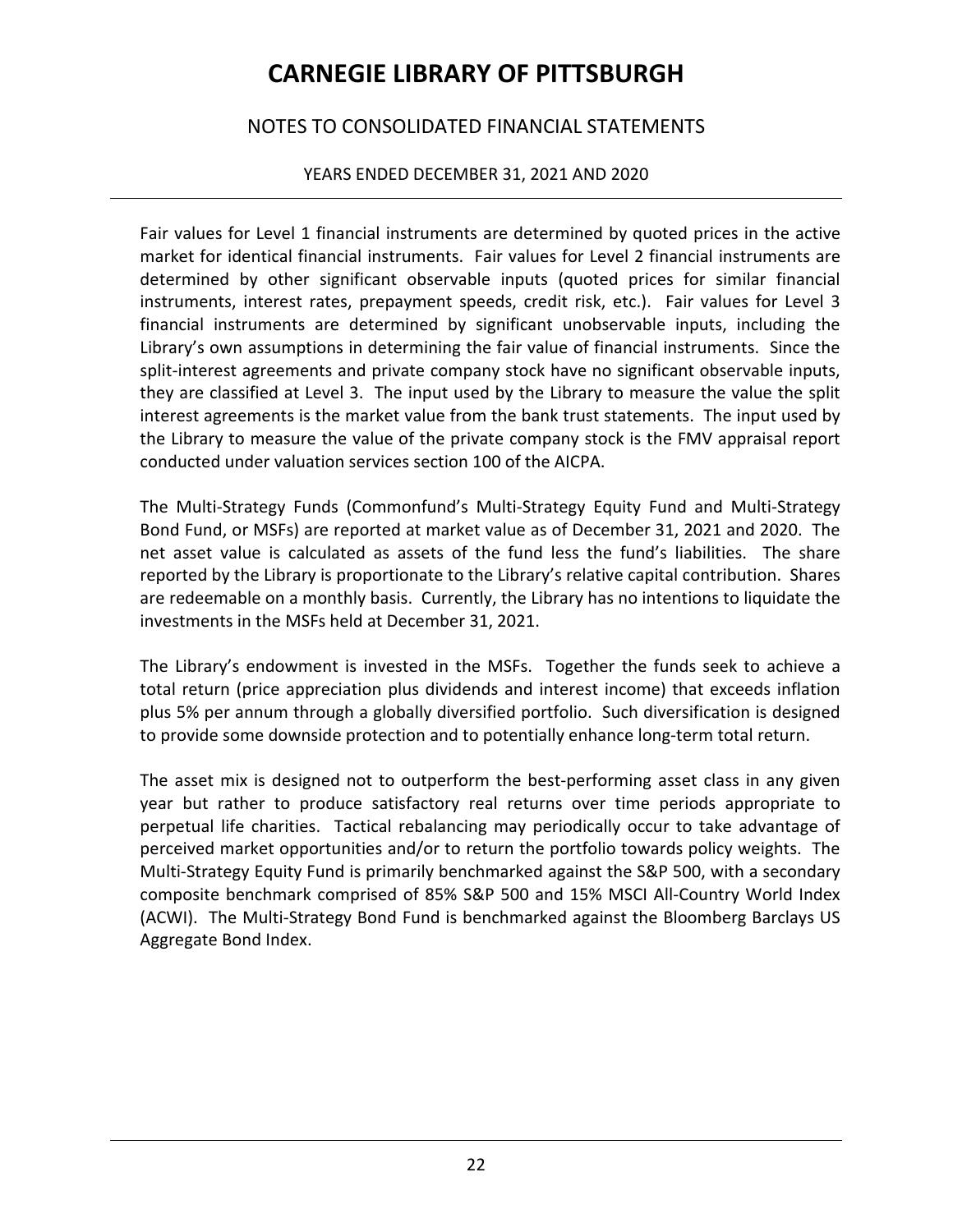## NOTES TO CONSOLIDATED FINANCIAL STATEMENTS

### YEARS ENDED DECEMBER 31, 2021 AND 2020

Fair values for Level 1 financial instruments are determined by quoted prices in the active market for identical financial instruments. Fair values for Level 2 financial instruments are determined by other significant observable inputs (quoted prices for similar financial instruments, interest rates, prepayment speeds, credit risk, etc.). Fair values for Level 3 financial instruments are determined by significant unobservable inputs, including the Library's own assumptions in determining the fair value of financial instruments. Since the split-interest agreements and private company stock have no significant observable inputs, they are classified at Level 3. The input used by the Library to measure the value the split interest agreements is the market value from the bank trust statements. The input used by the Library to measure the value of the private company stock is the FMV appraisal report conducted under valuation services section 100 of the AICPA.

The Multi-Strategy Funds (Commonfund's Multi-Strategy Equity Fund and Multi-Strategy Bond Fund, or MSFs) are reported at market value as of December 31, 2021 and 2020. The net asset value is calculated as assets of the fund less the fund's liabilities. The share reported by the Library is proportionate to the Library's relative capital contribution. Shares are redeemable on a monthly basis. Currently, the Library has no intentions to liquidate the investments in the MSFs held at December 31, 2021.

The Library's endowment is invested in the MSFs. Together the funds seek to achieve a total return (price appreciation plus dividends and interest income) that exceeds inflation plus 5% per annum through a globally diversified portfolio. Such diversification is designed to provide some downside protection and to potentially enhance long-term total return.

The asset mix is designed not to outperform the best-performing asset class in any given year but rather to produce satisfactory real returns over time periods appropriate to perpetual life charities. Tactical rebalancing may periodically occur to take advantage of perceived market opportunities and/or to return the portfolio towards policy weights. The Multi-Strategy Equity Fund is primarily benchmarked against the S&P 500, with a secondary composite benchmark comprised of 85% S&P 500 and 15% MSCI All-Country World Index (ACWI). The Multi-Strategy Bond Fund is benchmarked against the Bloomberg Barclays US Aggregate Bond Index.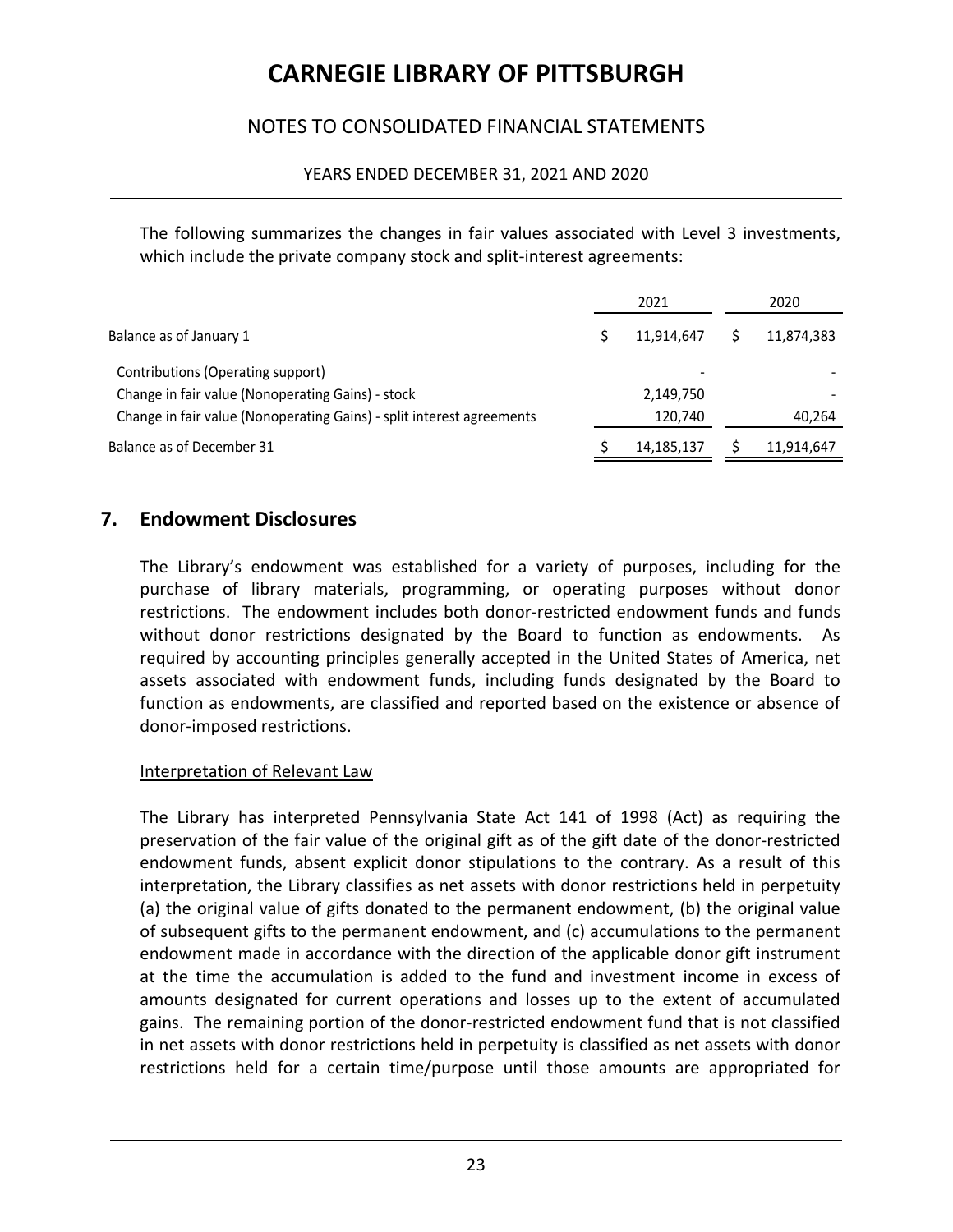## NOTES TO CONSOLIDATED FINANCIAL STATEMENTS

### YEARS ENDED DECEMBER 31, 2021 AND 2020

The following summarizes the changes in fair values associated with Level 3 investments, which include the private company stock and split-interest agreements:

|                                                                       | 2021       | 2020       |
|-----------------------------------------------------------------------|------------|------------|
| Balance as of January 1                                               | 11,914,647 | 11,874,383 |
| Contributions (Operating support)                                     |            |            |
| Change in fair value (Nonoperating Gains) - stock                     | 2,149,750  |            |
| Change in fair value (Nonoperating Gains) - split interest agreements | 120,740    | 40,264     |
| Balance as of December 31                                             | 14,185,137 | 11,914,647 |

## **7. Endowment Disclosures**

The Library's endowment was established for a variety of purposes, including for the purchase of library materials, programming, or operating purposes without donor restrictions. The endowment includes both donor-restricted endowment funds and funds without donor restrictions designated by the Board to function as endowments. As required by accounting principles generally accepted in the United States of America, net assets associated with endowment funds, including funds designated by the Board to function as endowments, are classified and reported based on the existence or absence of donor-imposed restrictions.

#### Interpretation of Relevant Law

The Library has interpreted Pennsylvania State Act 141 of 1998 (Act) as requiring the preservation of the fair value of the original gift as of the gift date of the donor-restricted endowment funds, absent explicit donor stipulations to the contrary. As a result of this interpretation, the Library classifies as net assets with donor restrictions held in perpetuity (a) the original value of gifts donated to the permanent endowment, (b) the original value of subsequent gifts to the permanent endowment, and (c) accumulations to the permanent endowment made in accordance with the direction of the applicable donor gift instrument at the time the accumulation is added to the fund and investment income in excess of amounts designated for current operations and losses up to the extent of accumulated gains. The remaining portion of the donor-restricted endowment fund that is not classified in net assets with donor restrictions held in perpetuity is classified as net assets with donor restrictions held for a certain time/purpose until those amounts are appropriated for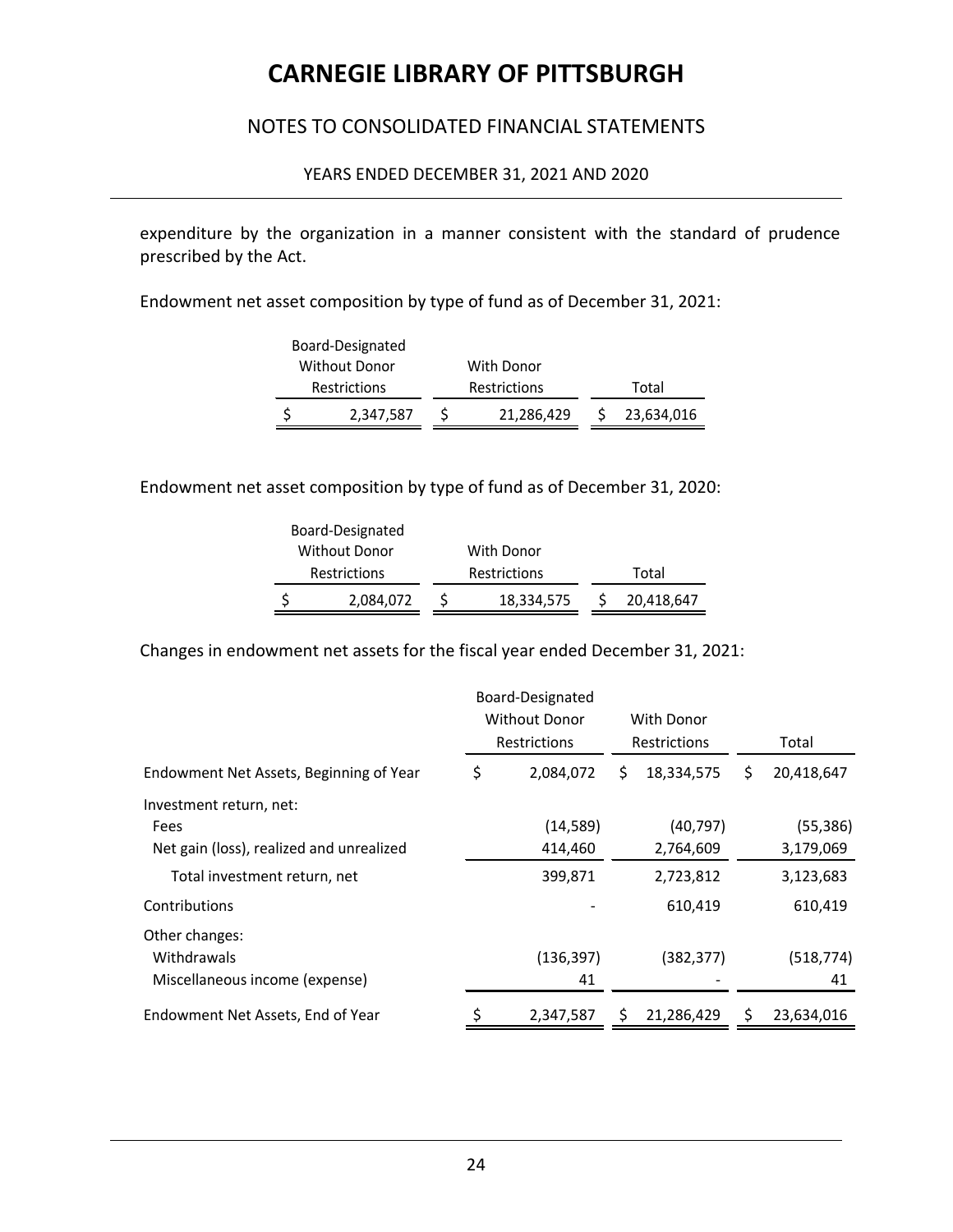## NOTES TO CONSOLIDATED FINANCIAL STATEMENTS

YEARS ENDED DECEMBER 31, 2021 AND 2020

expenditure by the organization in a manner consistent with the standard of prudence prescribed by the Act.

Endowment net asset composition by type of fund as of December 31, 2021:

|                                    | Board-Designated |  |              |  |            |
|------------------------------------|------------------|--|--------------|--|------------|
| <b>Without Donor</b><br>With Donor |                  |  |              |  |            |
| Restrictions                       |                  |  | Restrictions |  | Total      |
|                                    | 2,347,587        |  | 21,286,429   |  | 23,634,016 |

Endowment net asset composition by type of fund as of December 31, 2020:

|                                    | Board-Designated |  |                     |  |            |  |  |  |
|------------------------------------|------------------|--|---------------------|--|------------|--|--|--|
| <b>Without Donor</b><br>With Donor |                  |  |                     |  |            |  |  |  |
| Restrictions                       |                  |  | <b>Restrictions</b> |  | Total      |  |  |  |
|                                    | 2,084,072        |  | 18,334,575          |  | 20,418,647 |  |  |  |

Changes in endowment net assets for the fiscal year ended December 31, 2021:

|                                          | Board-Designated<br><b>Without Donor</b><br>Restrictions |            |    | With Donor<br><b>Restrictions</b> |   | Total      |
|------------------------------------------|----------------------------------------------------------|------------|----|-----------------------------------|---|------------|
| Endowment Net Assets, Beginning of Year  | Ş                                                        | 2,084,072  | \$ | 18,334,575                        | S | 20,418,647 |
| Investment return, net:                  |                                                          |            |    |                                   |   |            |
| Fees                                     |                                                          | (14, 589)  |    | (40, 797)                         |   | (55, 386)  |
| Net gain (loss), realized and unrealized |                                                          | 414,460    |    | 2,764,609                         |   | 3,179,069  |
| Total investment return, net             |                                                          | 399,871    |    | 2,723,812                         |   | 3,123,683  |
| Contributions                            |                                                          |            |    | 610,419                           |   | 610,419    |
| Other changes:                           |                                                          |            |    |                                   |   |            |
| Withdrawals                              |                                                          | (136, 397) |    | (382, 377)                        |   | (518, 774) |
| Miscellaneous income (expense)           |                                                          | 41         |    |                                   |   | 41         |
| Endowment Net Assets, End of Year        |                                                          | 2,347,587  | Ś  | 21,286,429                        |   | 23,634,016 |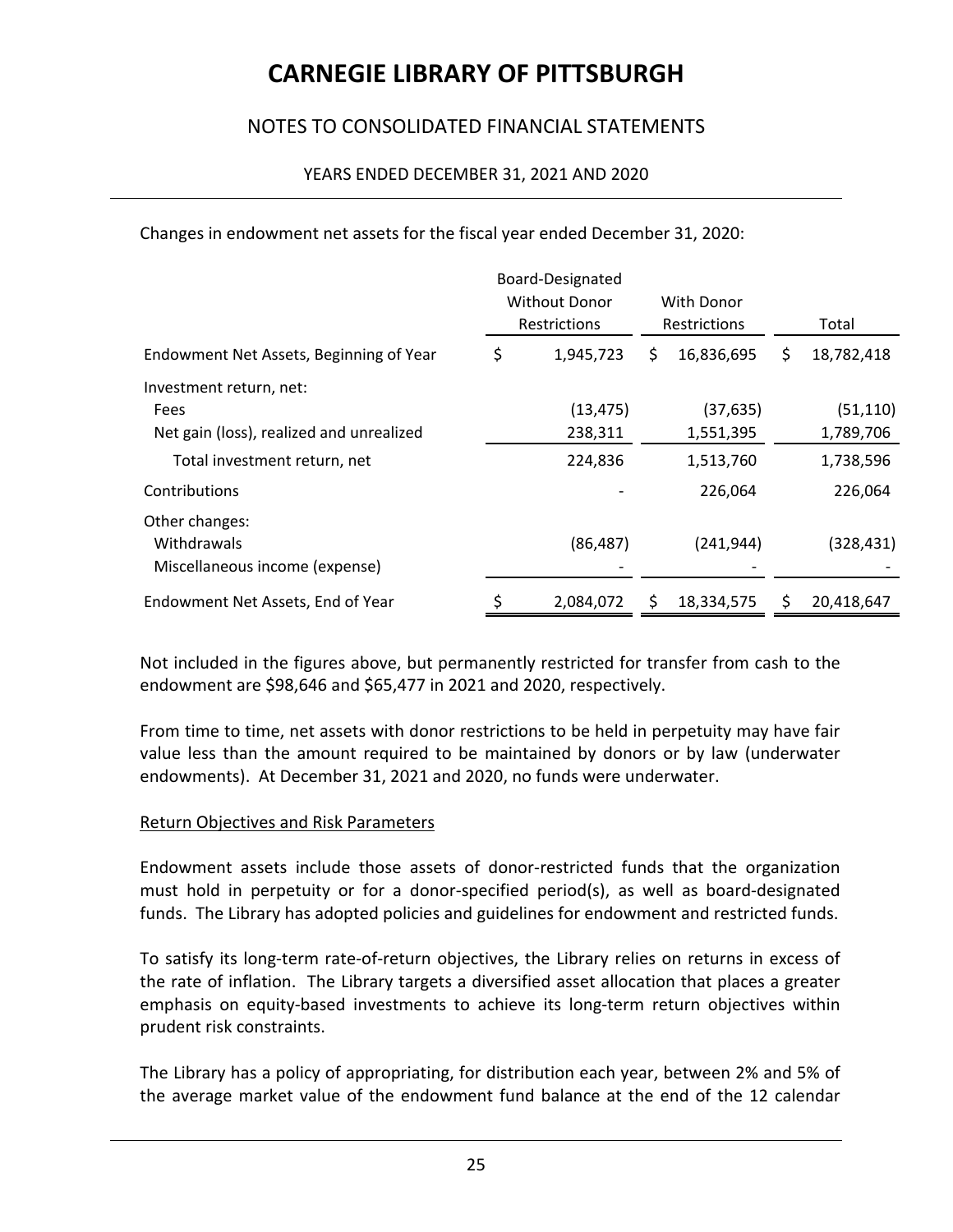# NOTES TO CONSOLIDATED FINANCIAL STATEMENTS

### YEARS ENDED DECEMBER 31, 2021 AND 2020

### Changes in endowment net assets for the fiscal year ended December 31, 2020:

|                                                                 | Board-Designated<br><b>Without Donor</b><br><b>Restrictions</b> |           | With Donor<br><b>Restrictions</b> |            |    | Total      |
|-----------------------------------------------------------------|-----------------------------------------------------------------|-----------|-----------------------------------|------------|----|------------|
| Endowment Net Assets, Beginning of Year                         | \$                                                              | 1,945,723 | \$                                | 16,836,695 | \$ | 18,782,418 |
| Investment return, net:                                         |                                                                 |           |                                   |            |    |            |
| Fees                                                            |                                                                 | (13, 475) |                                   | (37, 635)  |    | (51, 110)  |
| Net gain (loss), realized and unrealized                        |                                                                 | 238,311   |                                   | 1,551,395  |    | 1,789,706  |
| Total investment return, net                                    |                                                                 | 224,836   |                                   | 1,513,760  |    | 1,738,596  |
| Contributions                                                   |                                                                 |           |                                   | 226,064    |    | 226,064    |
| Other changes:<br>Withdrawals<br>Miscellaneous income (expense) |                                                                 | (86, 487) |                                   | (241, 944) |    | (328, 431) |
| Endowment Net Assets, End of Year                               |                                                                 | 2,084,072 | \$                                | 18,334,575 | S  | 20,418,647 |

Not included in the figures above, but permanently restricted for transfer from cash to the endowment are \$98,646 and \$65,477 in 2021 and 2020, respectively.

From time to time, net assets with donor restrictions to be held in perpetuity may have fair value less than the amount required to be maintained by donors or by law (underwater endowments). At December 31, 2021 and 2020, no funds were underwater.

#### Return Objectives and Risk Parameters

Endowment assets include those assets of donor-restricted funds that the organization must hold in perpetuity or for a donor-specified period(s), as well as board-designated funds. The Library has adopted policies and guidelines for endowment and restricted funds.

To satisfy its long-term rate-of-return objectives, the Library relies on returns in excess of the rate of inflation. The Library targets a diversified asset allocation that places a greater emphasis on equity-based investments to achieve its long-term return objectives within prudent risk constraints.

The Library has a policy of appropriating, for distribution each year, between 2% and 5% of the average market value of the endowment fund balance at the end of the 12 calendar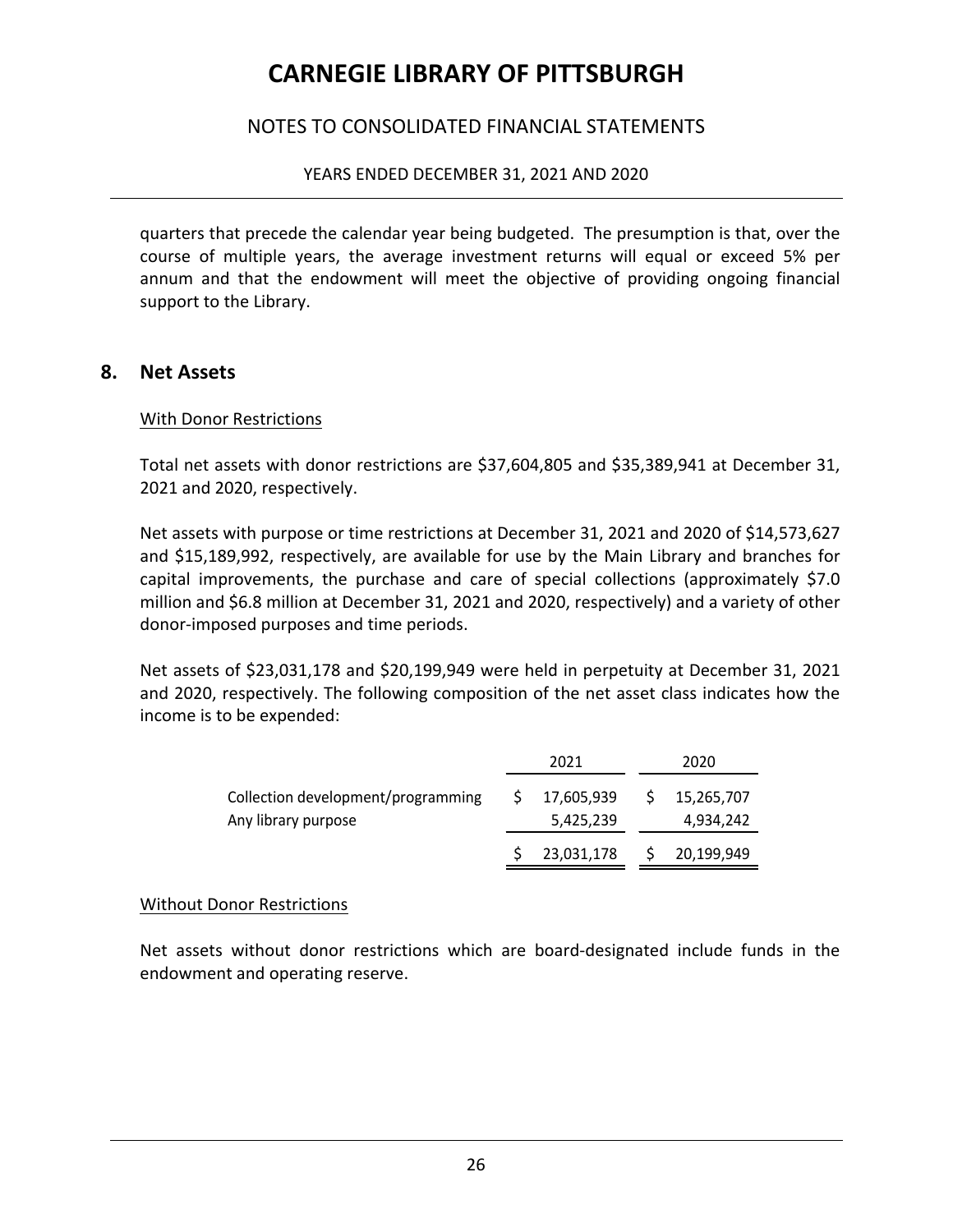## NOTES TO CONSOLIDATED FINANCIAL STATEMENTS

YEARS ENDED DECEMBER 31, 2021 AND 2020

quarters that precede the calendar year being budgeted. The presumption is that, over the course of multiple years, the average investment returns will equal or exceed 5% per annum and that the endowment will meet the objective of providing ongoing financial support to the Library.

### **8. Net Assets**

#### With Donor Restrictions

Total net assets with donor restrictions are \$37,604,805 and \$35,389,941 at December 31, 2021 and 2020, respectively.

Net assets with purpose or time restrictions at December 31, 2021 and 2020 of \$14,573,627 and \$15,189,992, respectively, are available for use by the Main Library and branches for capital improvements, the purchase and care of special collections (approximately \$7.0 million and \$6.8 million at December 31, 2021 and 2020, respectively) and a variety of other donor‐imposed purposes and time periods.

Net assets of \$23,031,178 and \$20,199,949 were held in perpetuity at December 31, 2021 and 2020, respectively. The following composition of the net asset class indicates how the income is to be expended:

|                                                           |  | 2021                    | 2020                    |
|-----------------------------------------------------------|--|-------------------------|-------------------------|
| Collection development/programming<br>Any library purpose |  | 17,605,939<br>5,425,239 | 15,265,707<br>4,934,242 |
|                                                           |  | 23,031,178              | 20,199,949              |

#### Without Donor Restrictions

Net assets without donor restrictions which are board‐designated include funds in the endowment and operating reserve.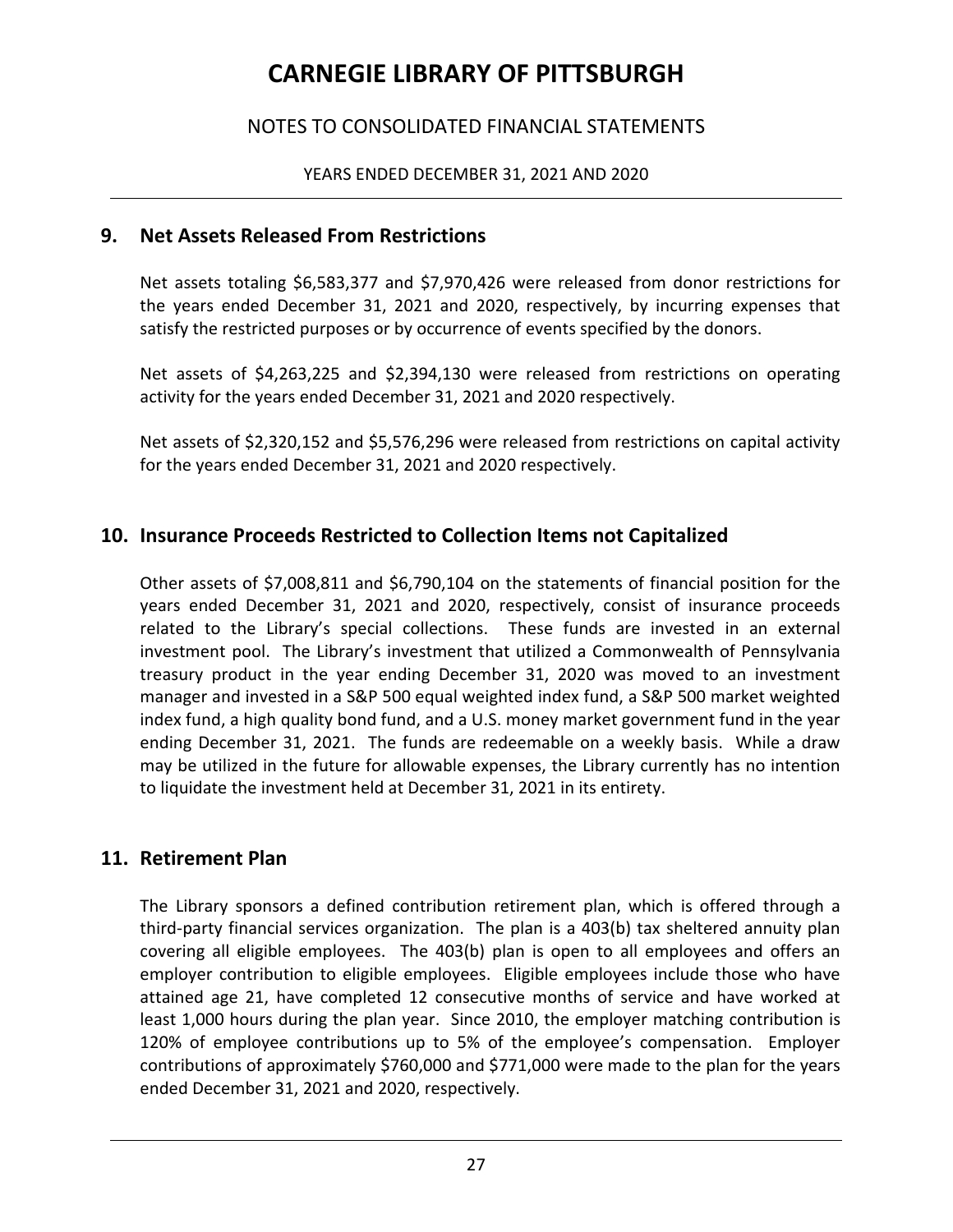# NOTES TO CONSOLIDATED FINANCIAL STATEMENTS

### YEARS ENDED DECEMBER 31, 2021 AND 2020

## **9. Net Assets Released From Restrictions**

Net assets totaling \$6,583,377 and \$7,970,426 were released from donor restrictions for the years ended December 31, 2021 and 2020, respectively, by incurring expenses that satisfy the restricted purposes or by occurrence of events specified by the donors.

Net assets of \$4,263,225 and \$2,394,130 were released from restrictions on operating activity for the years ended December 31, 2021 and 2020 respectively.

Net assets of \$2,320,152 and \$5,576,296 were released from restrictions on capital activity for the years ended December 31, 2021 and 2020 respectively.

## **10. Insurance Proceeds Restricted to Collection Items not Capitalized**

Other assets of \$7,008,811 and \$6,790,104 on the statements of financial position for the years ended December 31, 2021 and 2020, respectively, consist of insurance proceeds related to the Library's special collections. These funds are invested in an external investment pool. The Library's investment that utilized a Commonwealth of Pennsylvania treasury product in the year ending December 31, 2020 was moved to an investment manager and invested in a S&P 500 equal weighted index fund, a S&P 500 market weighted index fund, a high quality bond fund, and a U.S. money market government fund in the year ending December 31, 2021. The funds are redeemable on a weekly basis. While a draw may be utilized in the future for allowable expenses, the Library currently has no intention to liquidate the investment held at December 31, 2021 in its entirety.

## **11. Retirement Plan**

The Library sponsors a defined contribution retirement plan, which is offered through a third-party financial services organization. The plan is a 403(b) tax sheltered annuity plan covering all eligible employees. The 403(b) plan is open to all employees and offers an employer contribution to eligible employees. Eligible employees include those who have attained age 21, have completed 12 consecutive months of service and have worked at least 1,000 hours during the plan year. Since 2010, the employer matching contribution is 120% of employee contributions up to 5% of the employee's compensation. Employer contributions of approximately \$760,000 and \$771,000 were made to the plan for the years ended December 31, 2021 and 2020, respectively.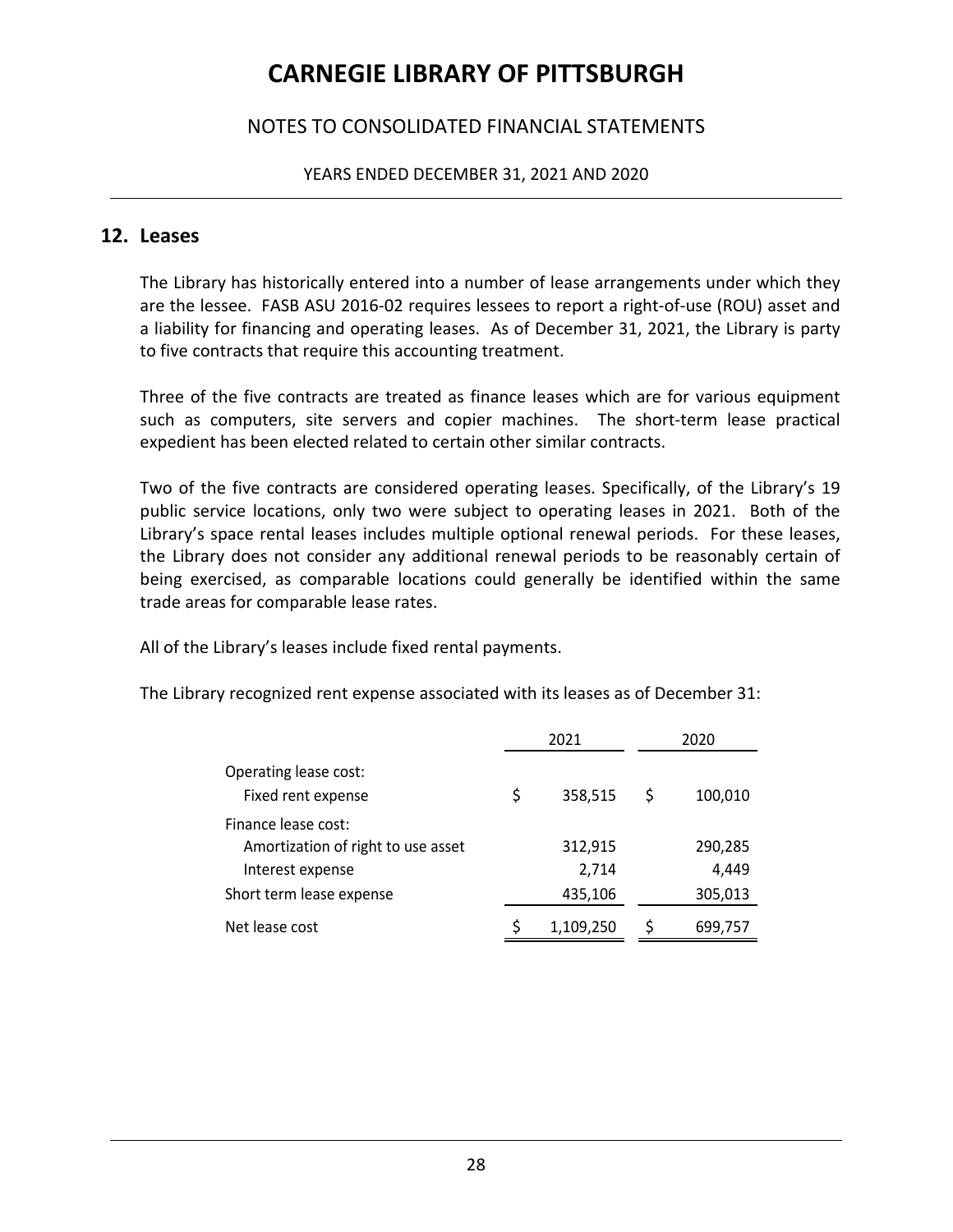## NOTES TO CONSOLIDATED FINANCIAL STATEMENTS

YEARS ENDED DECEMBER 31, 2021 AND 2020

### **12. Leases**

The Library has historically entered into a number of lease arrangements under which they are the lessee. FASB ASU 2016-02 requires lessees to report a right-of-use (ROU) asset and a liability for financing and operating leases. As of December 31, 2021, the Library is party to five contracts that require this accounting treatment.

Three of the five contracts are treated as finance leases which are for various equipment such as computers, site servers and copier machines. The short-term lease practical expedient has been elected related to certain other similar contracts.

Two of the five contracts are considered operating leases. Specifically, of the Library's 19 public service locations, only two were subject to operating leases in 2021. Both of the Library's space rental leases includes multiple optional renewal periods. For these leases, the Library does not consider any additional renewal periods to be reasonably certain of being exercised, as comparable locations could generally be identified within the same trade areas for comparable lease rates.

All of the Library's leases include fixed rental payments.

The Library recognized rent expense associated with its leases as of December 31:

|                                                                               | 2021             | 2020 |                  |  |
|-------------------------------------------------------------------------------|------------------|------|------------------|--|
| Operating lease cost:<br>Fixed rent expense                                   | \$<br>358,515    | S    | 100,010          |  |
| Finance lease cost:<br>Amortization of right to use asset<br>Interest expense | 312,915<br>2,714 |      | 290,285<br>4,449 |  |
| Short term lease expense                                                      | 435,106          |      | 305,013          |  |
| Net lease cost                                                                | 1,109,250        | ς    | 699,757          |  |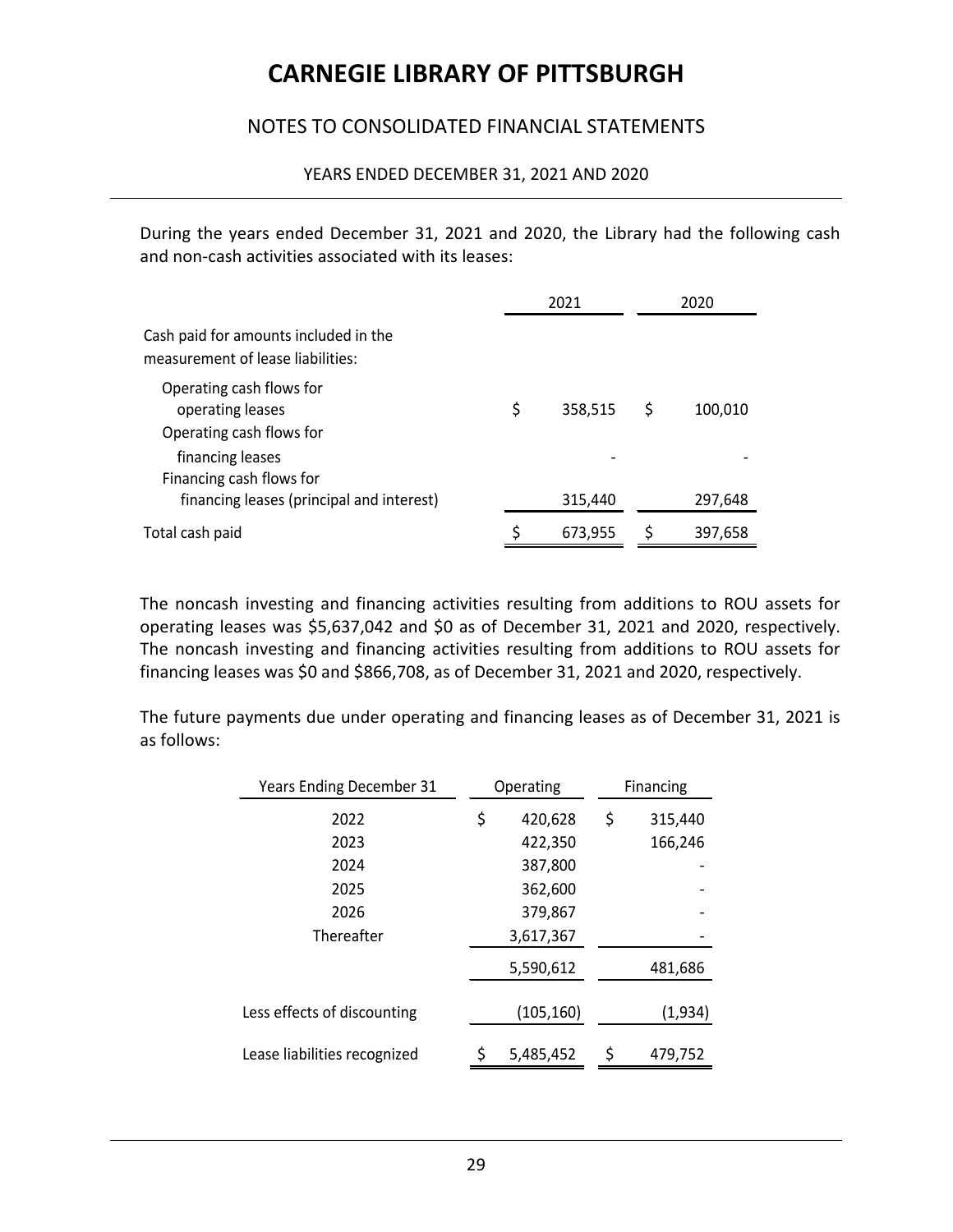## NOTES TO CONSOLIDATED FINANCIAL STATEMENTS

### YEARS ENDED DECEMBER 31, 2021 AND 2020

During the years ended December 31, 2021 and 2020, the Library had the following cash and non-cash activities associated with its leases:

|                                                                            | 2021          |   | 2020    |
|----------------------------------------------------------------------------|---------------|---|---------|
| Cash paid for amounts included in the<br>measurement of lease liabilities: |               |   |         |
| Operating cash flows for<br>operating leases<br>Operating cash flows for   | \$<br>358,515 | S | 100,010 |
| financing leases<br>Financing cash flows for                               |               |   |         |
| financing leases (principal and interest)                                  | 315,440       |   | 297,648 |
| Total cash paid                                                            | 673,955       |   | 397,658 |

The noncash investing and financing activities resulting from additions to ROU assets for operating leases was \$5,637,042 and \$0 as of December 31, 2021 and 2020, respectively. The noncash investing and financing activities resulting from additions to ROU assets for financing leases was \$0 and \$866,708, as of December 31, 2021 and 2020, respectively.

The future payments due under operating and financing leases as of December 31, 2021 is as follows:

| <b>Years Ending December 31</b> | Operating |            |               |  | Financing |
|---------------------------------|-----------|------------|---------------|--|-----------|
| 2022                            | \$        | 420,628    | \$<br>315,440 |  |           |
| 2023                            |           | 422,350    | 166,246       |  |           |
| 2024                            |           | 387,800    |               |  |           |
| 2025                            |           | 362,600    |               |  |           |
| 2026                            |           | 379,867    |               |  |           |
| Thereafter                      |           | 3,617,367  |               |  |           |
|                                 |           | 5,590,612  | 481,686       |  |           |
| Less effects of discounting     |           | (105, 160) | (1,934)       |  |           |
| Lease liabilities recognized    | \$        | 5,485,452  | \$<br>479,752 |  |           |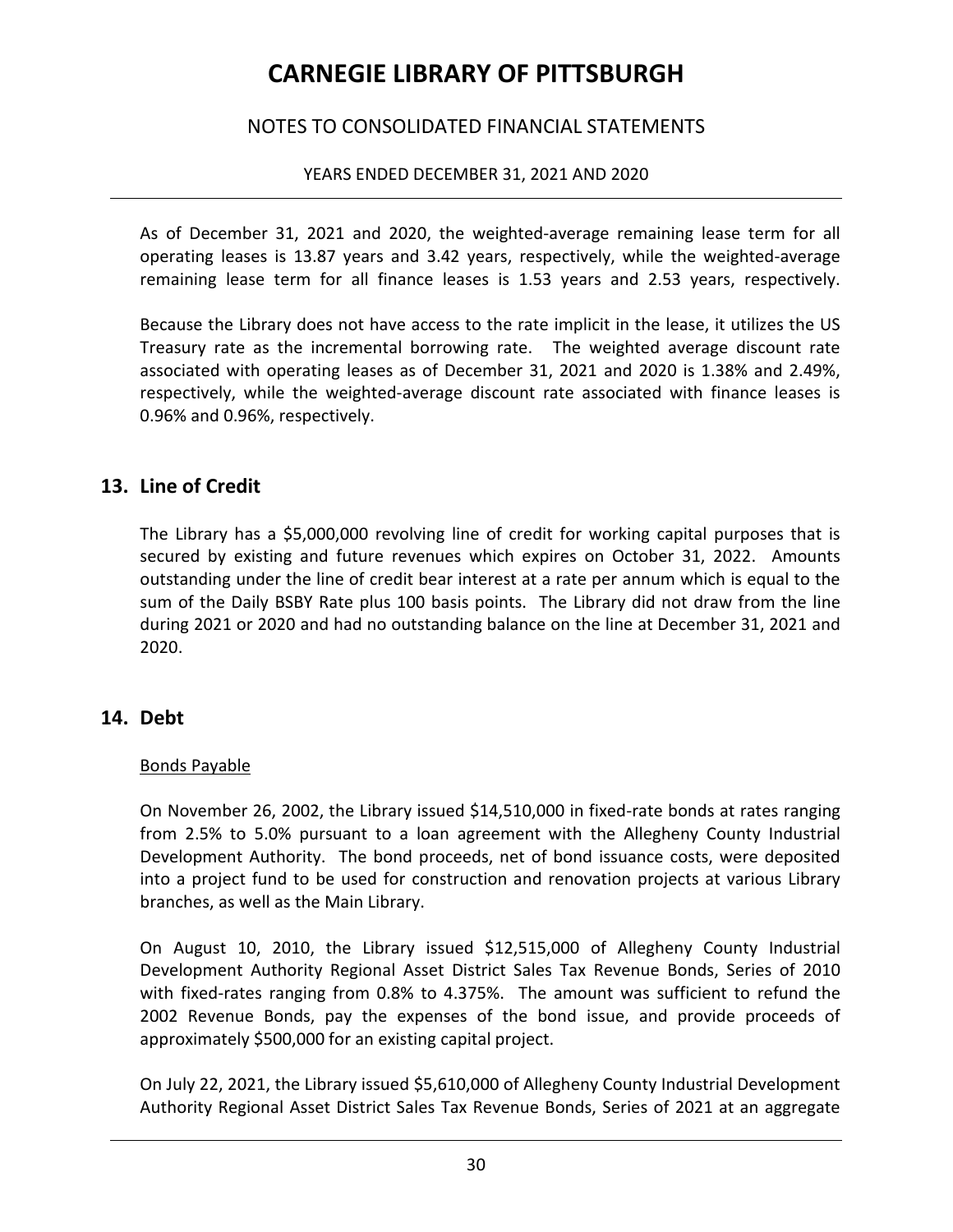## NOTES TO CONSOLIDATED FINANCIAL STATEMENTS

### YEARS ENDED DECEMBER 31, 2021 AND 2020

As of December 31, 2021 and 2020, the weighted-average remaining lease term for all operating leases is 13.87 years and 3.42 years, respectively, while the weighted-average remaining lease term for all finance leases is 1.53 years and 2.53 years, respectively.

Because the Library does not have access to the rate implicit in the lease, it utilizes the US Treasury rate as the incremental borrowing rate. The weighted average discount rate associated with operating leases as of December 31, 2021 and 2020 is 1.38% and 2.49%, respectively, while the weighted-average discount rate associated with finance leases is 0.96% and 0.96%, respectively.

### **13. Line of Credit**

The Library has a \$5,000,000 revolving line of credit for working capital purposes that is secured by existing and future revenues which expires on October 31, 2022. Amounts outstanding under the line of credit bear interest at a rate per annum which is equal to the sum of the Daily BSBY Rate plus 100 basis points. The Library did not draw from the line during 2021 or 2020 and had no outstanding balance on the line at December 31, 2021 and 2020.

### **14. Debt**

### Bonds Payable

On November 26, 2002, the Library issued \$14,510,000 in fixed-rate bonds at rates ranging from 2.5% to 5.0% pursuant to a loan agreement with the Allegheny County Industrial Development Authority. The bond proceeds, net of bond issuance costs, were deposited into a project fund to be used for construction and renovation projects at various Library branches, as well as the Main Library.

On August 10, 2010, the Library issued \$12,515,000 of Allegheny County Industrial Development Authority Regional Asset District Sales Tax Revenue Bonds, Series of 2010 with fixed-rates ranging from 0.8% to 4.375%. The amount was sufficient to refund the 2002 Revenue Bonds, pay the expenses of the bond issue, and provide proceeds of approximately \$500,000 for an existing capital project.

On July 22, 2021, the Library issued \$5,610,000 of Allegheny County Industrial Development Authority Regional Asset District Sales Tax Revenue Bonds, Series of 2021 at an aggregate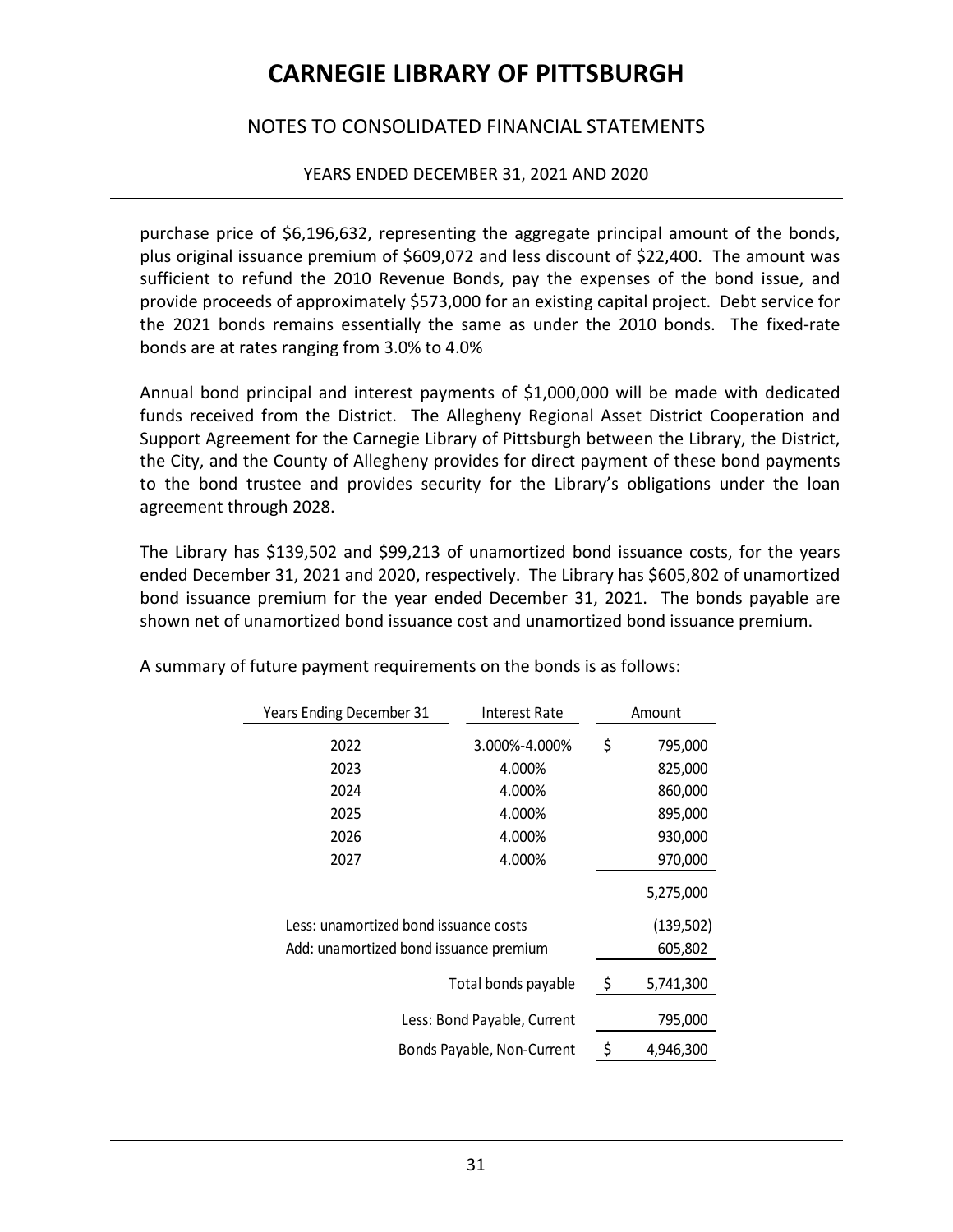## NOTES TO CONSOLIDATED FINANCIAL STATEMENTS

YEARS ENDED DECEMBER 31, 2021 AND 2020

purchase price of \$6,196,632, representing the aggregate principal amount of the bonds, plus original issuance premium of \$609,072 and less discount of \$22,400. The amount was sufficient to refund the 2010 Revenue Bonds, pay the expenses of the bond issue, and provide proceeds of approximately \$573,000 for an existing capital project. Debt service for the 2021 bonds remains essentially the same as under the 2010 bonds. The fixed-rate bonds are at rates ranging from 3.0% to 4.0%

Annual bond principal and interest payments of \$1,000,000 will be made with dedicated funds received from the District. The Allegheny Regional Asset District Cooperation and Support Agreement for the Carnegie Library of Pittsburgh between the Library, the District, the City, and the County of Allegheny provides for direct payment of these bond payments to the bond trustee and provides security for the Library's obligations under the loan agreement through 2028.

The Library has \$139,502 and \$99,213 of unamortized bond issuance costs, for the years ended December 31, 2021 and 2020, respectively. The Library has \$605,802 of unamortized bond issuance premium for the year ended December 31, 2021. The bonds payable are shown net of unamortized bond issuance cost and unamortized bond issuance premium.

| <b>Years Ending December 31</b>        | <b>Interest Rate</b> | Amount |           |
|----------------------------------------|----------------------|--------|-----------|
| 2022                                   | 3.000%-4.000%        | \$     | 795,000   |
| 2023                                   | 4.000%               |        | 825,000   |
| 2024                                   | 4.000%               |        | 860,000   |
| 2025                                   | 4.000%               |        | 895,000   |
| 2026                                   | 4.000%               |        | 930,000   |
| 2027                                   | 4.000%               |        | 970,000   |
|                                        |                      |        | 5,275,000 |
| Less: unamortized bond issuance costs  |                      |        | (139,502) |
| Add: unamortized bond issuance premium |                      |        | 605,802   |
| Total bonds payable                    |                      | \$     | 5,741,300 |
| Less: Bond Payable, Current            |                      |        | 795,000   |
| Bonds Payable, Non-Current             |                      | \$     | 4,946,300 |
|                                        |                      |        |           |

A summary of future payment requirements on the bonds is as follows: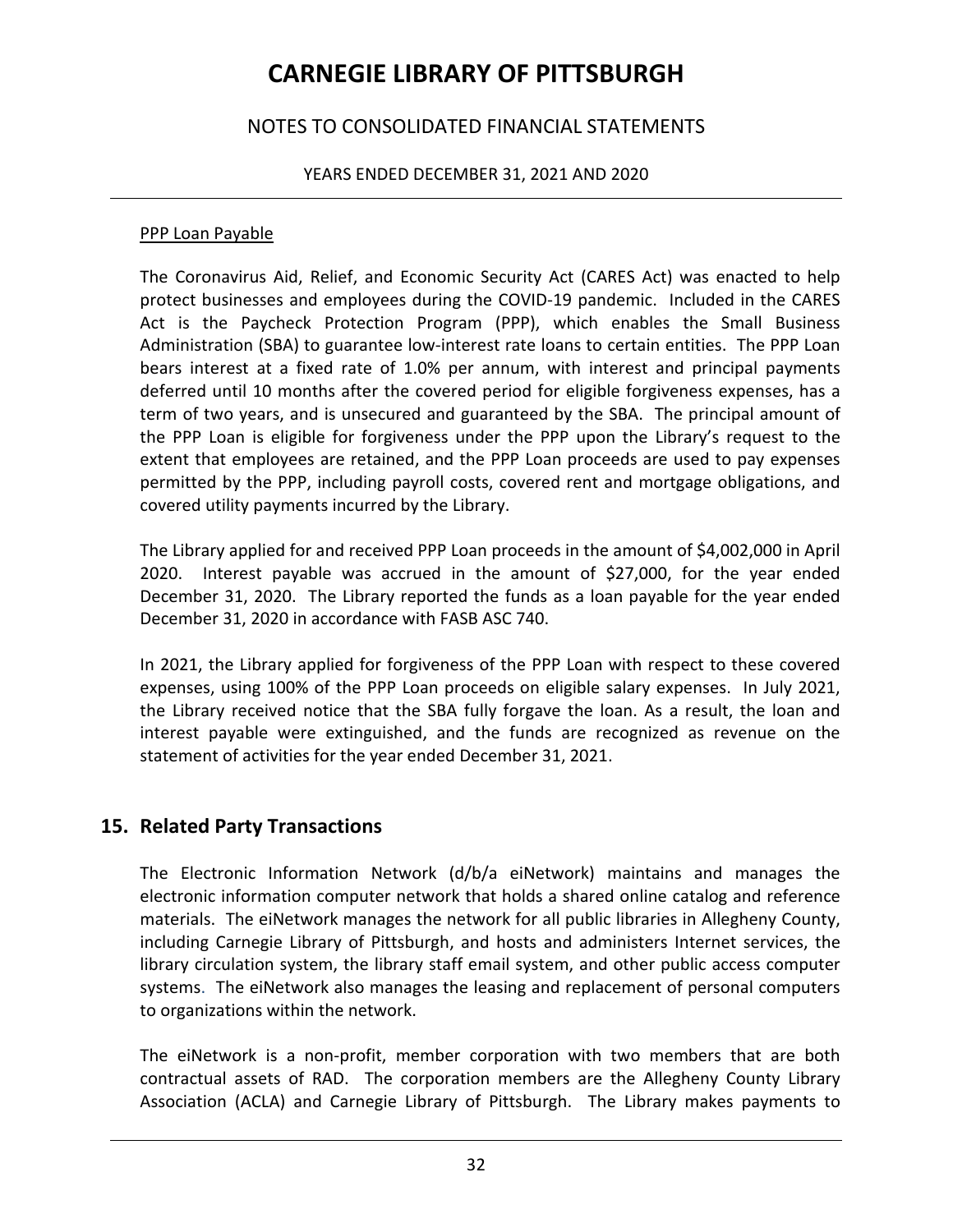## NOTES TO CONSOLIDATED FINANCIAL STATEMENTS

### YEARS ENDED DECEMBER 31, 2021 AND 2020

#### PPP Loan Payable

The Coronavirus Aid, Relief, and Economic Security Act (CARES Act) was enacted to help protect businesses and employees during the COVID-19 pandemic. Included in the CARES Act is the Paycheck Protection Program (PPP), which enables the Small Business Administration (SBA) to guarantee low-interest rate loans to certain entities. The PPP Loan bears interest at a fixed rate of 1.0% per annum, with interest and principal payments deferred until 10 months after the covered period for eligible forgiveness expenses, has a term of two years, and is unsecured and guaranteed by the SBA. The principal amount of the PPP Loan is eligible for forgiveness under the PPP upon the Library's request to the extent that employees are retained, and the PPP Loan proceeds are used to pay expenses permitted by the PPP, including payroll costs, covered rent and mortgage obligations, and covered utility payments incurred by the Library.

The Library applied for and received PPP Loan proceeds in the amount of \$4,002,000 in April 2020. Interest payable was accrued in the amount of \$27,000, for the year ended December 31, 2020. The Library reported the funds as a loan payable for the year ended December 31, 2020 in accordance with FASB ASC 740.

In 2021, the Library applied for forgiveness of the PPP Loan with respect to these covered expenses, using 100% of the PPP Loan proceeds on eligible salary expenses. In July 2021, the Library received notice that the SBA fully forgave the loan. As a result, the loan and interest payable were extinguished, and the funds are recognized as revenue on the statement of activities for the year ended December 31, 2021.

## **15. Related Party Transactions**

The Electronic Information Network (d/b/a eiNetwork) maintains and manages the electronic information computer network that holds a shared online catalog and reference materials. The eiNetwork manages the network for all public libraries in Allegheny County, including Carnegie Library of Pittsburgh, and hosts and administers Internet services, the library circulation system, the library staff email system, and other public access computer systems. The eiNetwork also manages the leasing and replacement of personal computers to organizations within the network.

The eiNetwork is a non-profit, member corporation with two members that are both contractual assets of RAD. The corporation members are the Allegheny County Library Association (ACLA) and Carnegie Library of Pittsburgh. The Library makes payments to